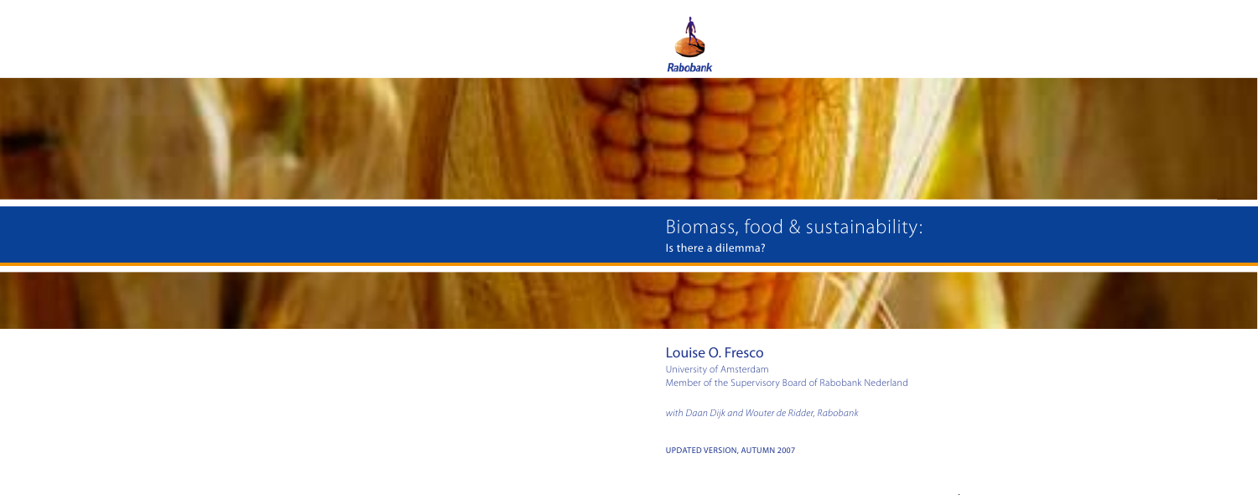



# Biomass, food & sustainability: Is there a dilemma?



Louise O. Fresco University of Amsterdam Member of the Supervisory Board of Rabobank Nederland

*with Daan Dijk and Wouter de Ridder, Rabobank*

Updated version, Autumn 2007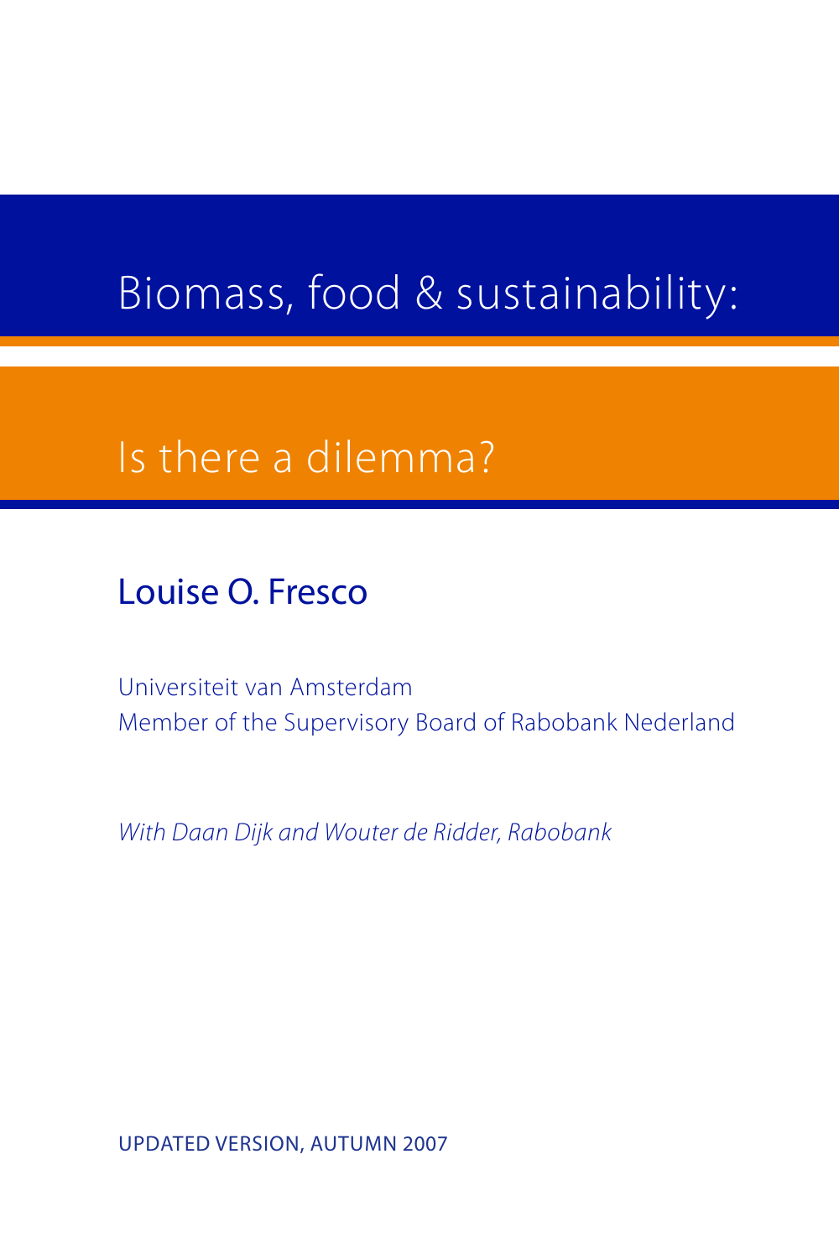# Biomass, food & sustainability:

# Is there a dilemma?

Louise O. Fresco

Universiteit van Amsterdam Member of the Supervisory Board of Rabobank Nederland

*With Daan Dijk and Wouter de Ridder, Rabobank*

Updated version, Autumn 2007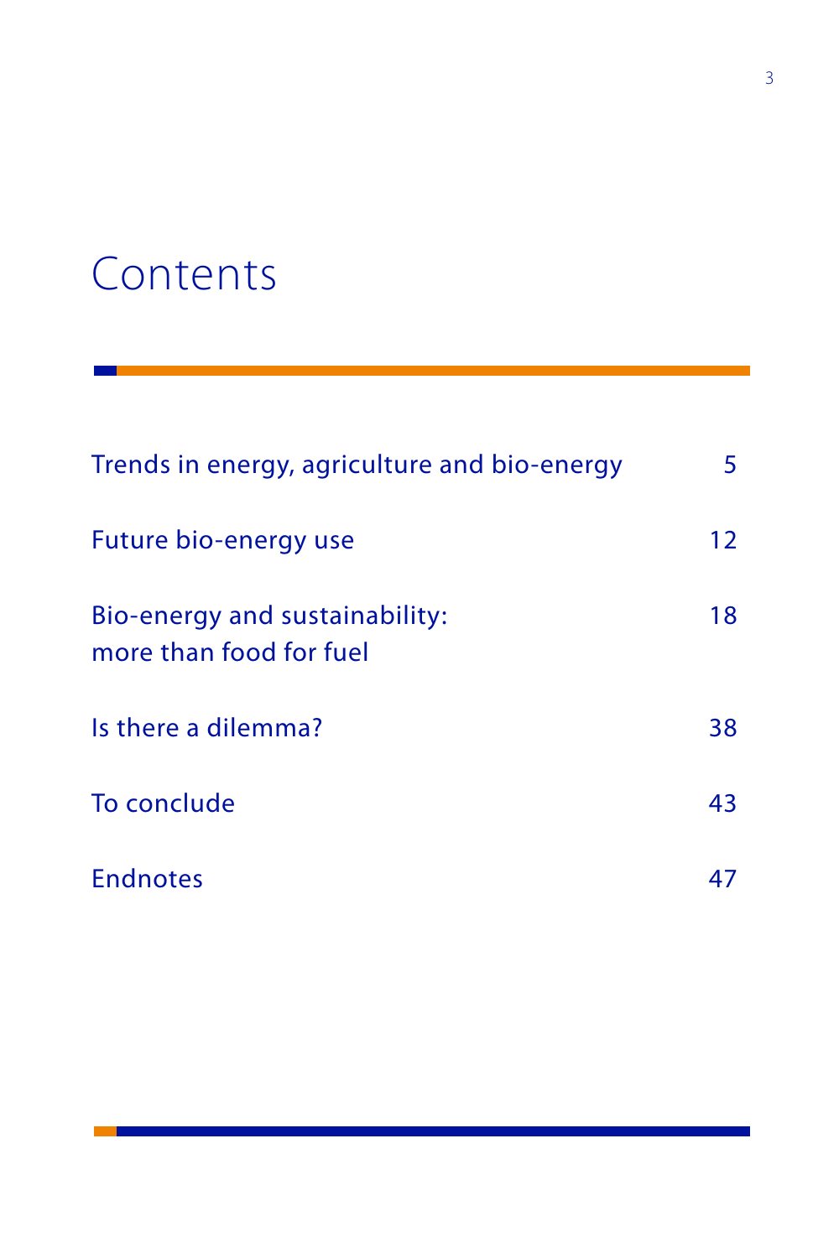# Contents

| Trends in energy, agriculture and bio-energy              | 5. |
|-----------------------------------------------------------|----|
| Future bio-energy use                                     | 12 |
| Bio-energy and sustainability:<br>more than food for fuel | 18 |
| Is there a dilemma?                                       | 38 |
| To conclude                                               | 43 |
| <b>Endnotes</b>                                           |    |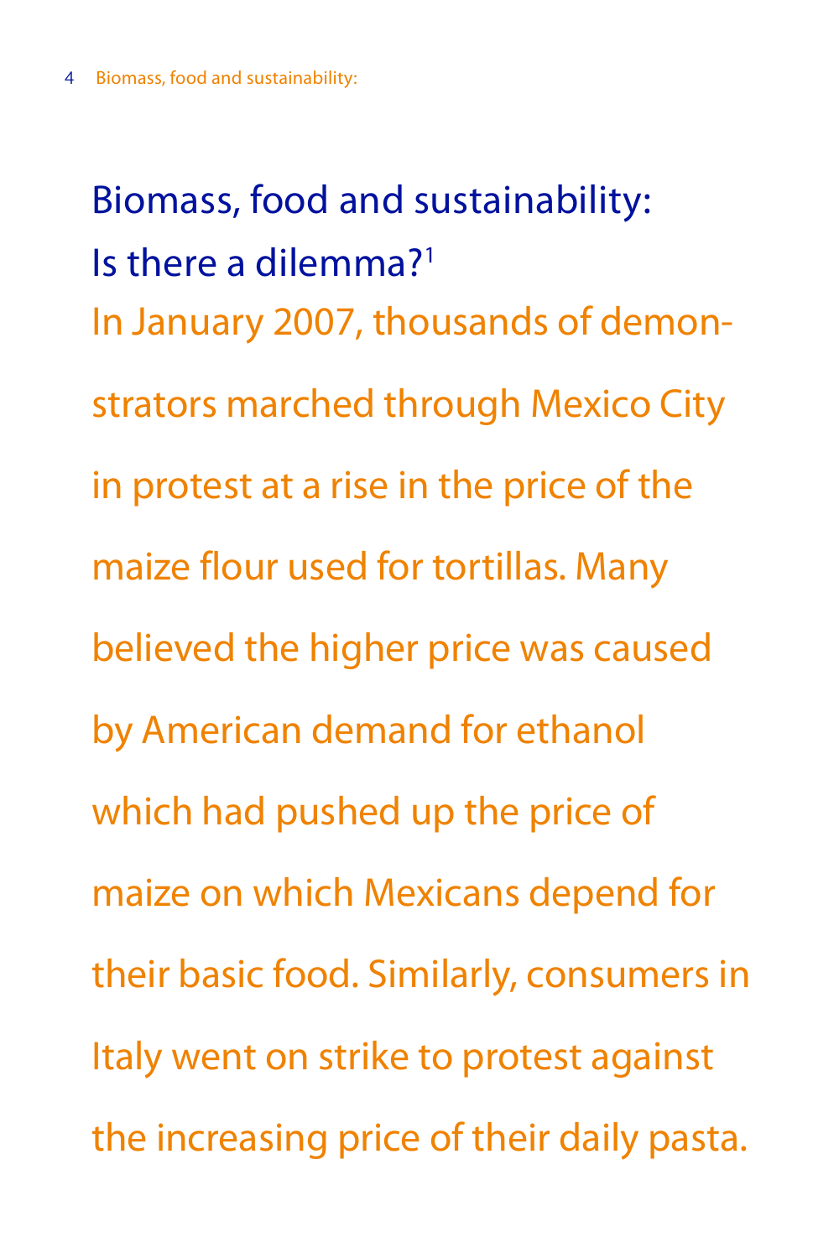Biomass, food and sustainability: Is there a dilemma?1 In January 2007, thousands of demonstrators marched through Mexico City in protest at a rise in the price of the maize flour used for tortillas. Many believed the higher price was caused by American demand for ethanol which had pushed up the price of maize on which Mexicans depend for their basic food. Similarly, consumers in Italy went on strike to protest against the increasing price of their daily pasta.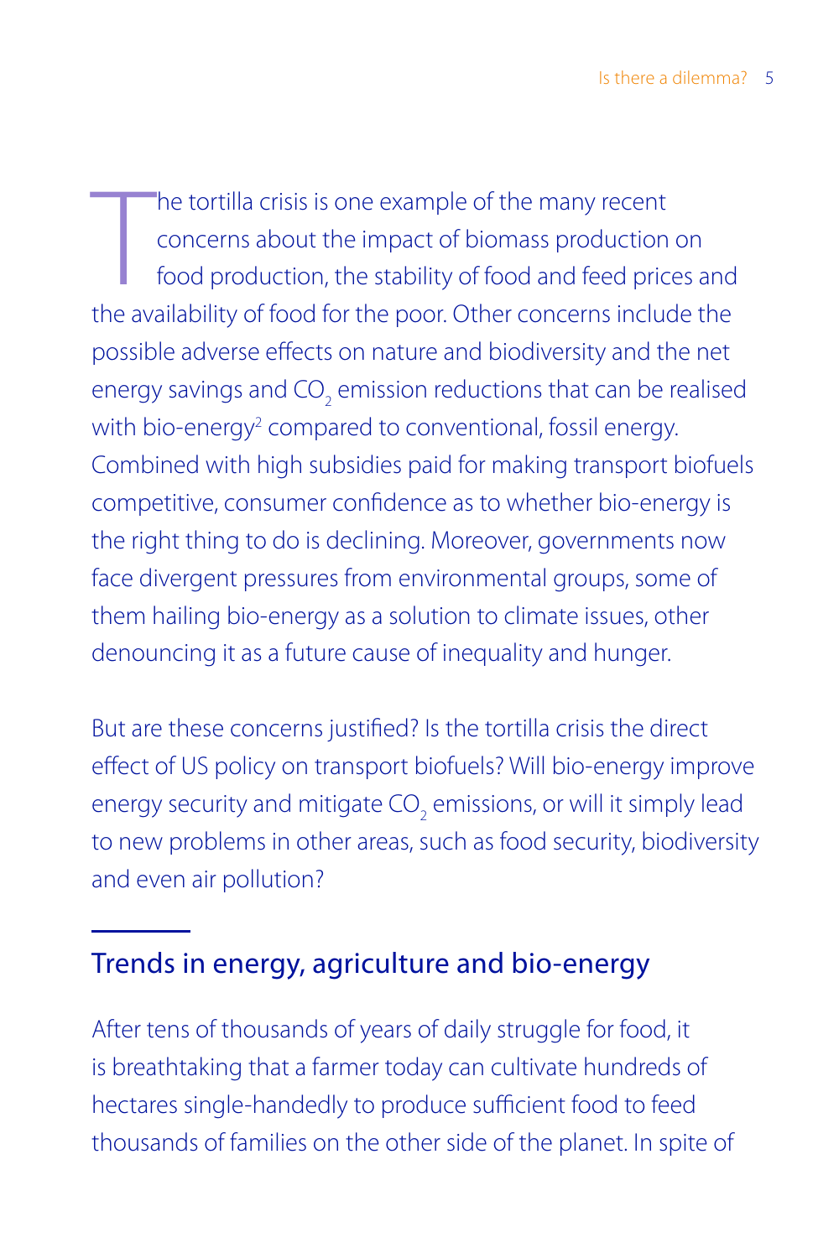The tortilla crisis is one example of the many recent<br>concerns about the impact of biomass production on<br>food production, the stability of food and feed prices and<br>the availability of food for the poor. Other concerns incl he tortilla crisis is one example of the many recent concerns about the impact of biomass production on food production, the stability of food and feed prices and possible adverse effects on nature and biodiversity and the net energy savings and CO<sub>2</sub> emission reductions that can be realised with bio-energy<sup>2</sup> compared to conventional, fossil energy. Combined with high subsidies paid for making transport biofuels competitive, consumer confidence as to whether bio-energy is the right thing to do is declining. Moreover, governments now face divergent pressures from environmental groups, some of them hailing bio-energy as a solution to climate issues, other denouncing it as a future cause of inequality and hunger.

But are these concerns justified? Is the tortilla crisis the direct effect of US policy on transport biofuels? Will bio-energy improve energy security and mitigate CO<sub>2</sub> emissions, or will it simply lead to new problems in other areas, such as food security, biodiversity and even air pollution?

# Trends in energy, agriculture and bio-energy

After tens of thousands of years of daily struggle for food, it is breathtaking that a farmer today can cultivate hundreds of hectares single-handedly to produce sufficient food to feed thousands of families on the other side of the planet. In spite of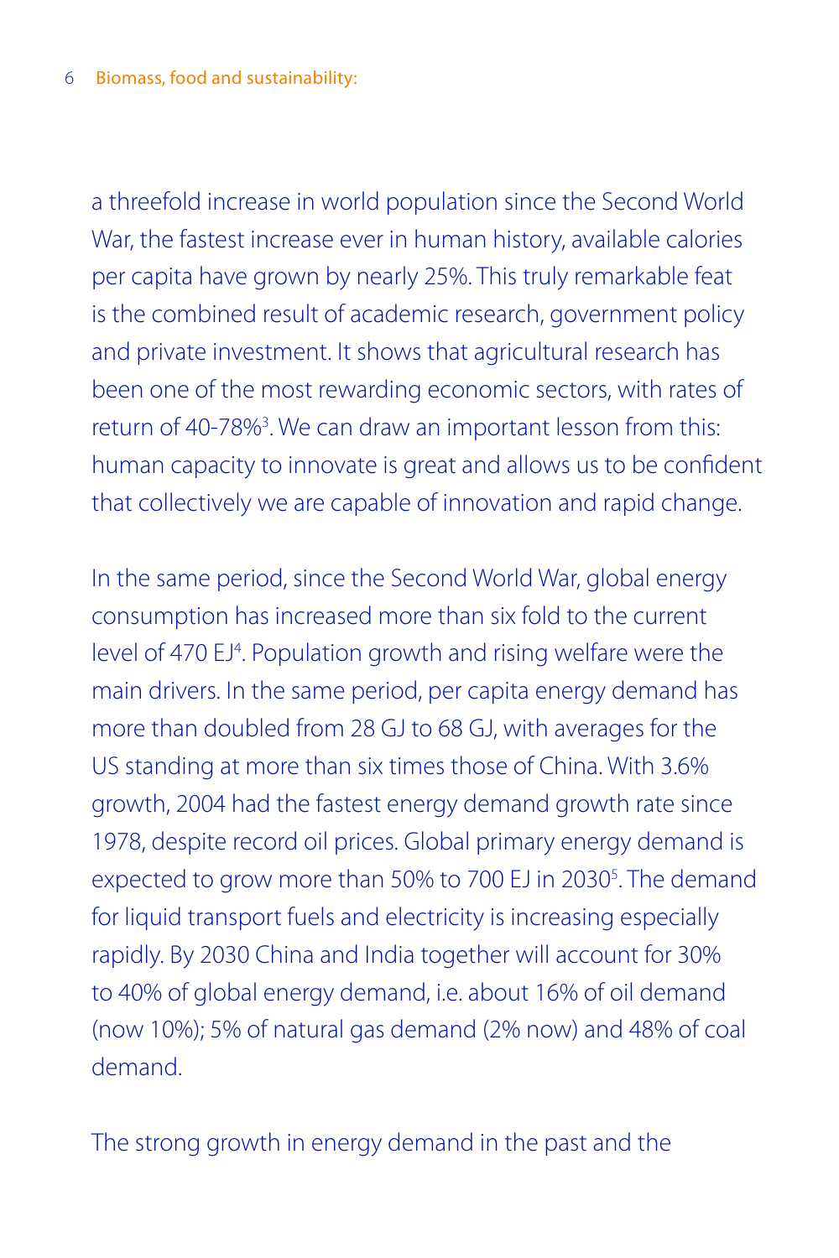a threefold increase in world population since the Second World War, the fastest increase ever in human history, available calories per capita have grown by nearly 25%. This truly remarkable feat is the combined result of academic research, government policy and private investment. It shows that agricultural research has been one of the most rewarding economic sectors, with rates of return of 40-78%<sup>3</sup>. We can draw an important lesson from this: human capacity to innovate is great and allows us to be confident that collectively we are capable of innovation and rapid change.

In the same period, since the Second World War, global energy consumption has increased more than six fold to the current level of 470 EJ<sup>4</sup>. Population growth and rising welfare were the main drivers. In the same period, per capita energy demand has more than doubled from 28 GJ to 68 GJ, with averages for the US standing at more than six times those of China. With 3.6% growth, 2004 had the fastest energy demand growth rate since 1978, despite record oil prices. Global primary energy demand is expected to grow more than 50% to 700 EJ in 2030<sup>5</sup>. The demand for liquid transport fuels and electricity is increasing especially rapidly. By 2030 China and India together will account for 30% to 40% of global energy demand, i.e. about 16% of oil demand (now 10%); 5% of natural gas demand (2% now) and 48% of coal demand.

The strong growth in energy demand in the past and the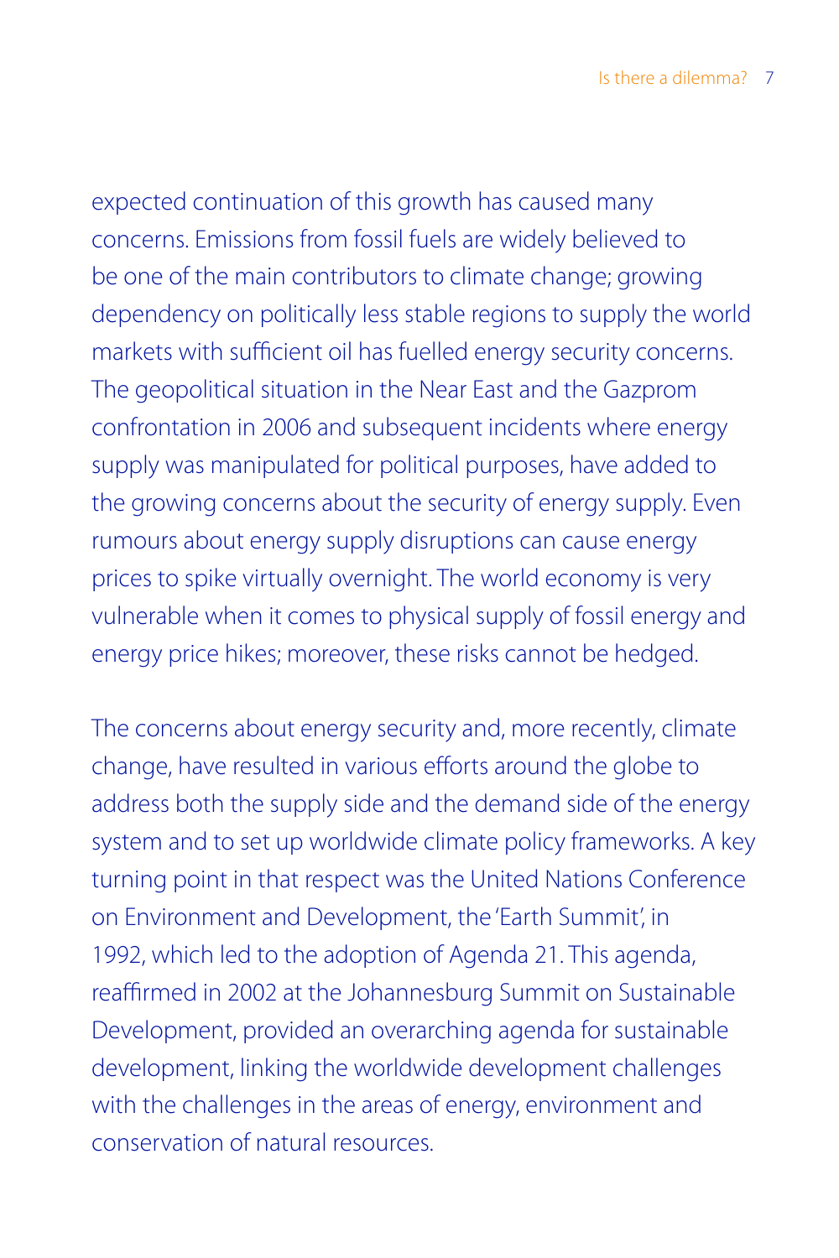expected continuation of this growth has caused many concerns. Emissions from fossil fuels are widely believed to be one of the main contributors to climate change; growing dependency on politically less stable regions to supply the world markets with sufficient oil has fuelled energy security concerns. The geopolitical situation in the Near East and the Gazprom confrontation in 2006 and subsequent incidents where energy supply was manipulated for political purposes, have added to the growing concerns about the security of energy supply. Even rumours about energy supply disruptions can cause energy prices to spike virtually overnight. The world economy is very vulnerable when it comes to physical supply of fossil energy and energy price hikes; moreover, these risks cannot be hedged.

The concerns about energy security and, more recently, climate change, have resulted in various efforts around the globe to address both the supply side and the demand side of the energy system and to set up worldwide climate policy frameworks. A key turning point in that respect was the United Nations Conference on Environment and Development, the 'Earth Summit', in 1992, which led to the adoption of Agenda 21. This agenda, reaffirmed in 2002 at the Johannesburg Summit on Sustainable Development, provided an overarching agenda for sustainable development, linking the worldwide development challenges with the challenges in the areas of energy, environment and conservation of natural resources.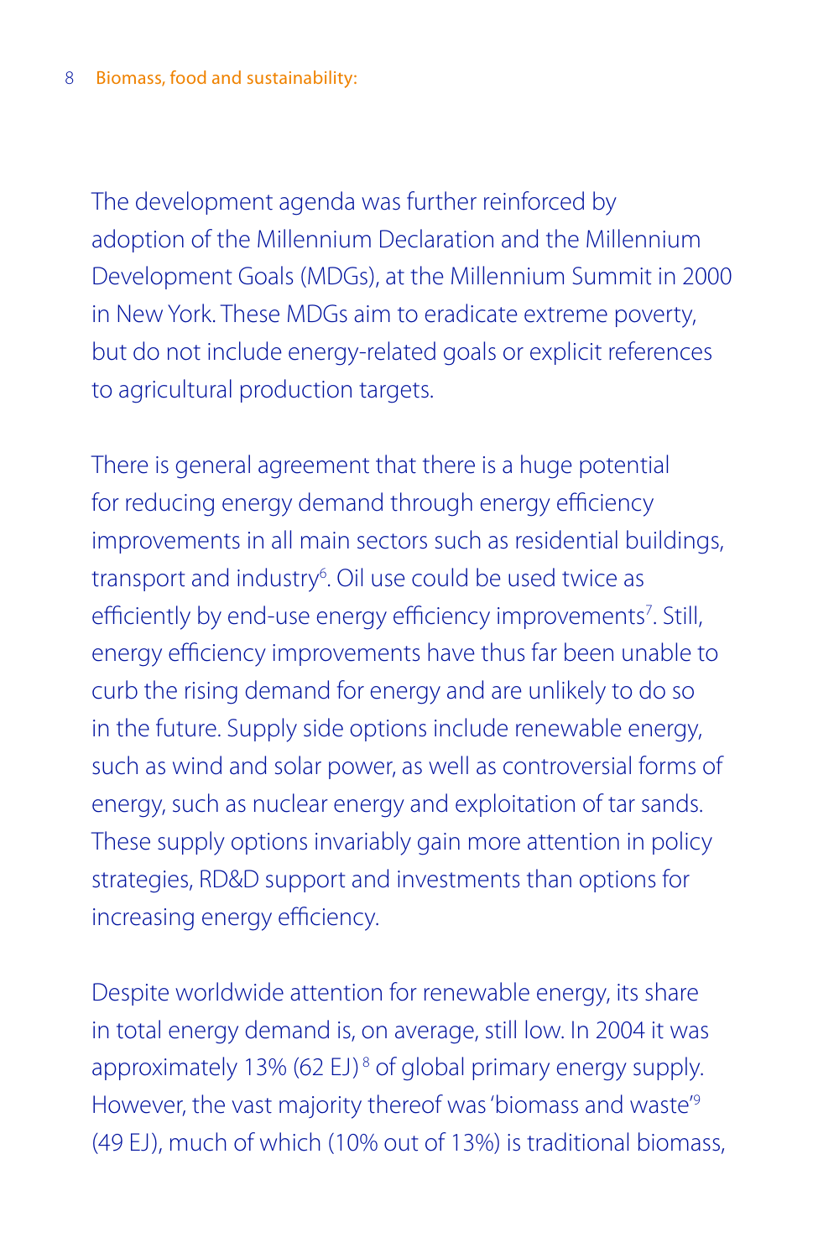The development agenda was further reinforced by adoption of the Millennium Declaration and the Millennium Development Goals (MDGs), at the Millennium Summit in 2000 in New York. These MDGs aim to eradicate extreme poverty, but do not include energy-related goals or explicit references to agricultural production targets.

There is general agreement that there is a huge potential for reducing energy demand through energy efficiency improvements in all main sectors such as residential buildings, transport and industry<sup>6</sup>. Oil use could be used twice as efficiently by end-use energy efficiency improvements<sup>7</sup>. Still, energy efficiency improvements have thus far been unable to curb the rising demand for energy and are unlikely to do so in the future. Supply side options include renewable energy, such as wind and solar power, as well as controversial forms of energy, such as nuclear energy and exploitation of tar sands. These supply options invariably gain more attention in policy strategies, RD&D support and investments than options for increasing energy efficiency.

Despite worldwide attention for renewable energy, its share in total energy demand is, on average, still low. In 2004 it was approximately 13% (62 EJ)<sup>8</sup> of global primary energy supply. However, the vast majority thereof was 'biomass and waste'9 (49 EJ), much of which (10% out of 13%) is traditional biomass,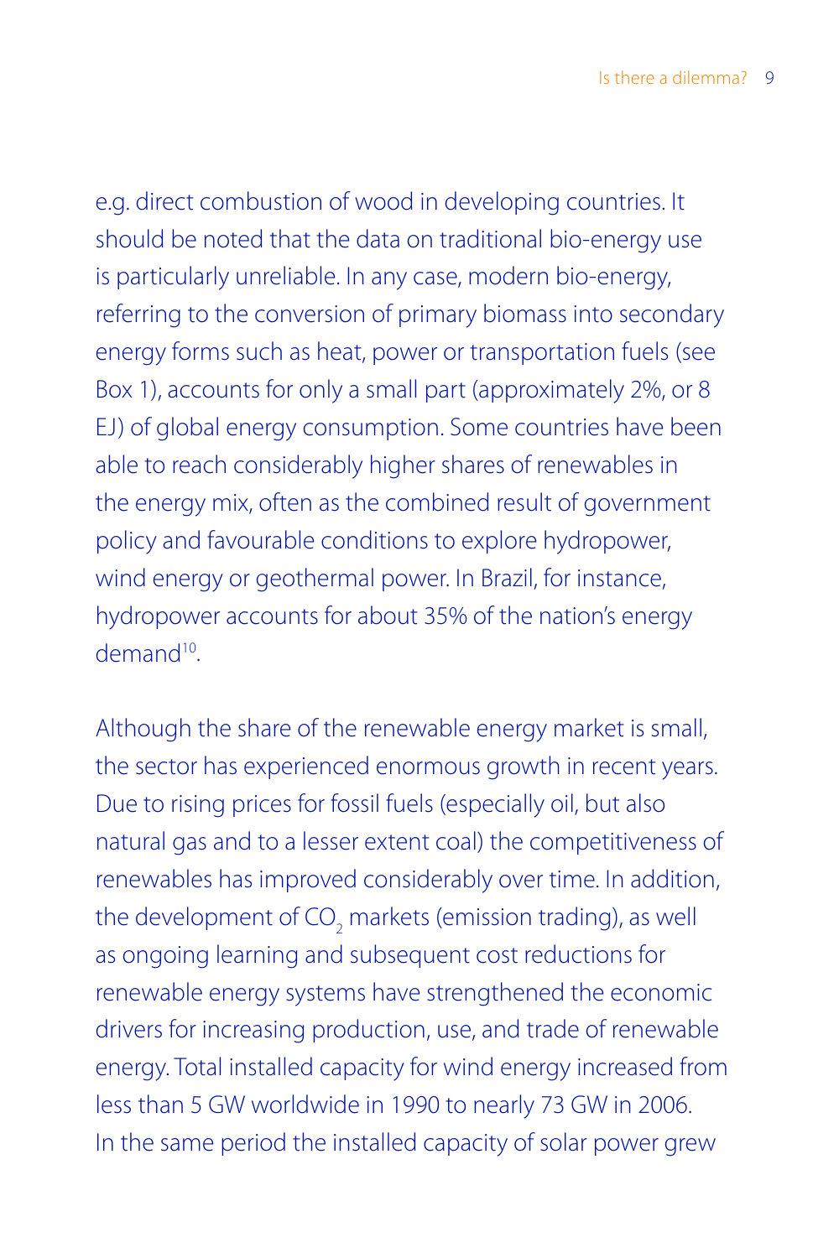e.g. direct combustion of wood in developing countries. It should be noted that the data on traditional bio-energy use is particularly unreliable. In any case, modern bio-energy, referring to the conversion of primary biomass into secondary energy forms such as heat, power or transportation fuels (see Box 1), accounts for only a small part (approximately 2%, or 8 EJ) of global energy consumption. Some countries have been able to reach considerably higher shares of renewables in the energy mix, often as the combined result of government policy and favourable conditions to explore hydropower, wind energy or geothermal power. In Brazil, for instance, hydropower accounts for about 35% of the nation's energy demand<sup>10</sup>

Although the share of the renewable energy market is small, the sector has experienced enormous growth in recent years. Due to rising prices for fossil fuels (especially oil, but also natural gas and to a lesser extent coal) the competitiveness of renewables has improved considerably over time. In addition, the development of CO<sub>2</sub> markets (emission trading), as well as ongoing learning and subsequent cost reductions for renewable energy systems have strengthened the economic drivers for increasing production, use, and trade of renewable energy. Total installed capacity for wind energy increased from less than 5 GW worldwide in 1990 to nearly 73 GW in 2006. In the same period the installed capacity of solar power grew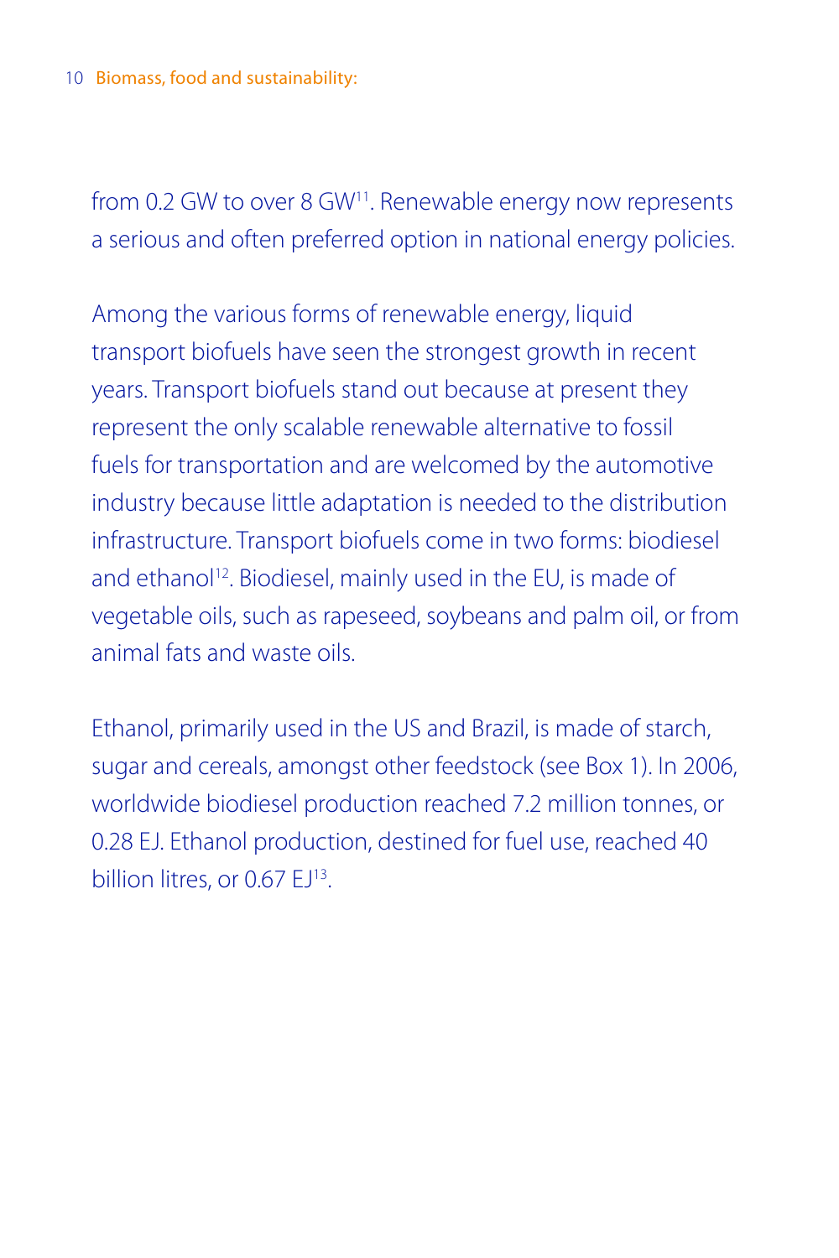from 0.2 GW to over 8 GW<sup>11</sup>. Renewable energy now represents a serious and often preferred option in national energy policies.

Among the various forms of renewable energy, liquid transport biofuels have seen the strongest growth in recent years. Transport biofuels stand out because at present they represent the only scalable renewable alternative to fossil fuels for transportation and are welcomed by the automotive industry because little adaptation is needed to the distribution infrastructure. Transport biofuels come in two forms: biodiesel and ethanol<sup>12</sup>. Biodiesel, mainly used in the EU, is made of vegetable oils, such as rapeseed, soybeans and palm oil, or from animal fats and waste oils.

Ethanol, primarily used in the US and Brazil, is made of starch, sugar and cereals, amongst other feedstock (see Box 1). In 2006, worldwide biodiesel production reached 7.2 million tonnes, or 0.28 EJ. Ethanol production, destined for fuel use, reached 40 billion litres, or 0.67 FJ<sup>13</sup>.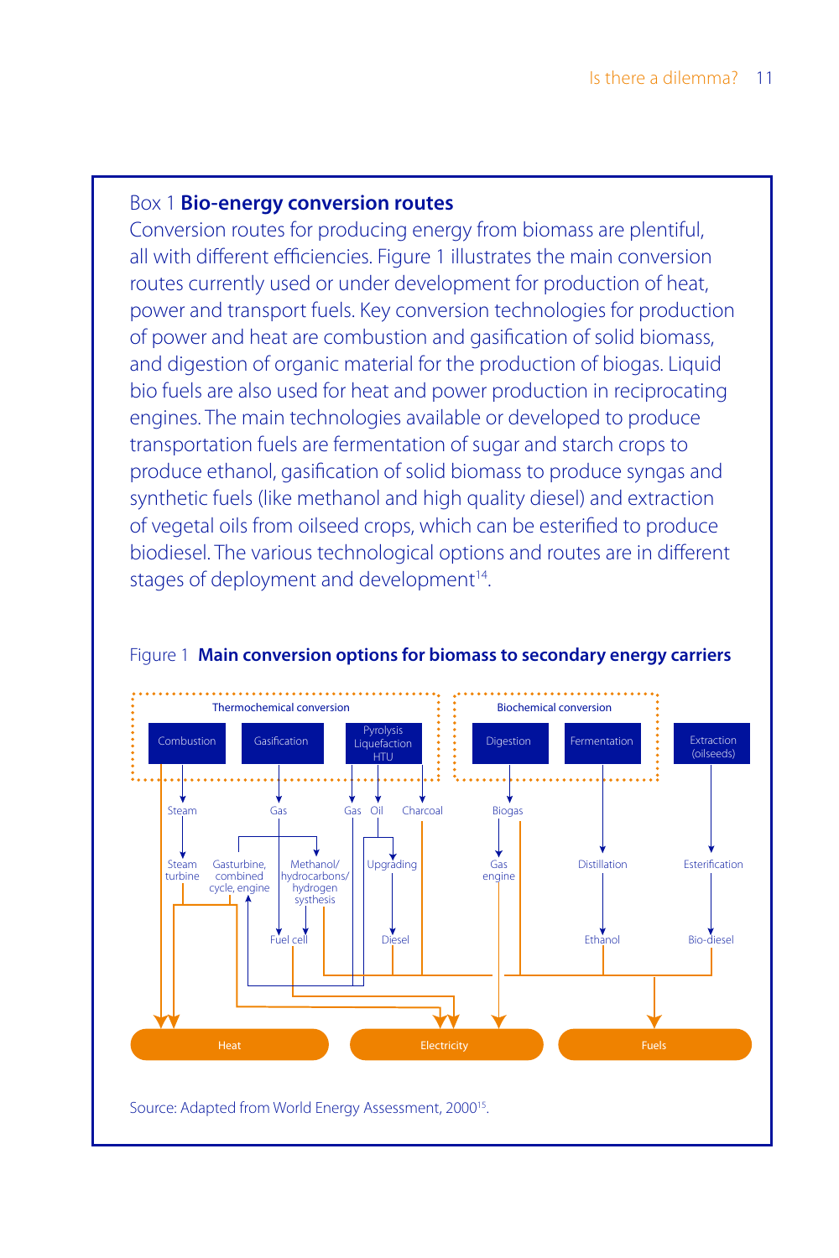#### Box 1 **Bio-energy conversion routes**

Conversion routes for producing energy from biomass are plentiful, all with different efficiencies. Figure 1 illustrates the main conversion routes currently used or under development for production of heat, power and transport fuels. Key conversion technologies for production of power and heat are combustion and gasification of solid biomass, and digestion of organic material for the production of biogas. Liquid bio fuels are also used for heat and power production in reciprocating engines. The main technologies available or developed to produce transportation fuels are fermentation of sugar and starch crops to produce ethanol, gasification of solid biomass to produce syngas and synthetic fuels (like methanol and high quality diesel) and extraction of vegetal oils from oilseed crops, which can be esterified to produce biodiesel. The various technological options and routes are in different stages of deployment and development<sup>14</sup>.



#### Figure 1 **Main conversion options for biomass to secondary energy carriers**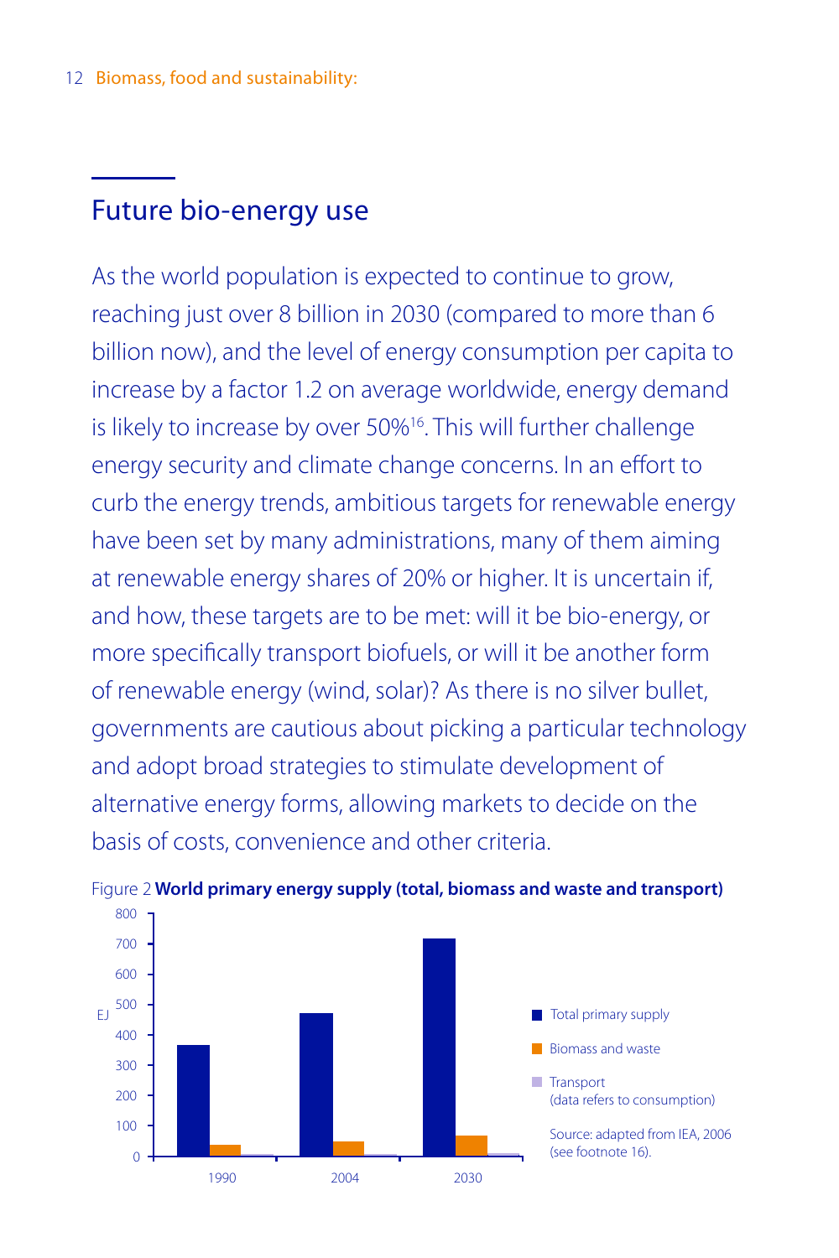# Future bio-energy use

As the world population is expected to continue to grow, reaching just over 8 billion in 2030 (compared to more than 6 billion now), and the level of energy consumption per capita to increase by a factor 1.2 on average worldwide, energy demand is likely to increase by over 50%16. This will further challenge energy security and climate change concerns. In an effort to curb the energy trends, ambitious targets for renewable energy have been set by many administrations, many of them aiming at renewable energy shares of 20% or higher. It is uncertain if, and how, these targets are to be met: will it be bio-energy, or more specifically transport biofuels, or will it be another form of renewable energy (wind, solar)? As there is no silver bullet, governments are cautious about picking a particular technology and adopt broad strategies to stimulate development of alternative energy forms, allowing markets to decide on the basis of costs, convenience and other criteria.



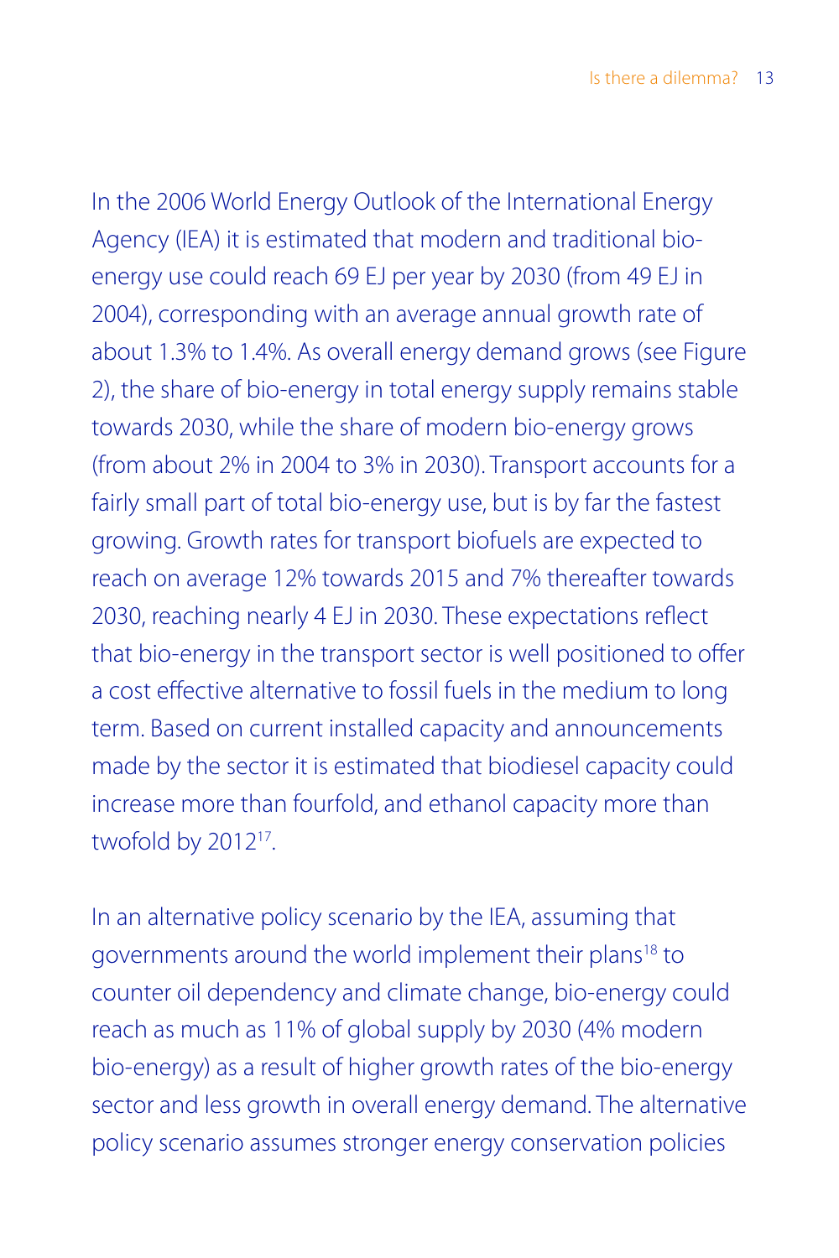In the 2006 World Energy Outlook of the International Energy Agency (IEA) it is estimated that modern and traditional bioenergy use could reach 69 EJ per year by 2030 (from 49 EJ in 2004), corresponding with an average annual growth rate of about 1.3% to 1.4%. As overall energy demand grows (see Figure 2), the share of bio-energy in total energy supply remains stable towards 2030, while the share of modern bio-energy grows (from about 2% in 2004 to 3% in 2030). Transport accounts for a fairly small part of total bio-energy use, but is by far the fastest growing. Growth rates for transport biofuels are expected to reach on average 12% towards 2015 and 7% thereafter towards 2030, reaching nearly 4 EJ in 2030. These expectations reflect that bio-energy in the transport sector is well positioned to offer a cost effective alternative to fossil fuels in the medium to long term. Based on current installed capacity and announcements made by the sector it is estimated that biodiesel capacity could increase more than fourfold, and ethanol capacity more than twofold by 2012<sup>17</sup>.

In an alternative policy scenario by the IEA, assuming that governments around the world implement their plans<sup>18</sup> to counter oil dependency and climate change, bio-energy could reach as much as 11% of global supply by 2030 (4% modern bio-energy) as a result of higher growth rates of the bio-energy sector and less growth in overall energy demand. The alternative policy scenario assumes stronger energy conservation policies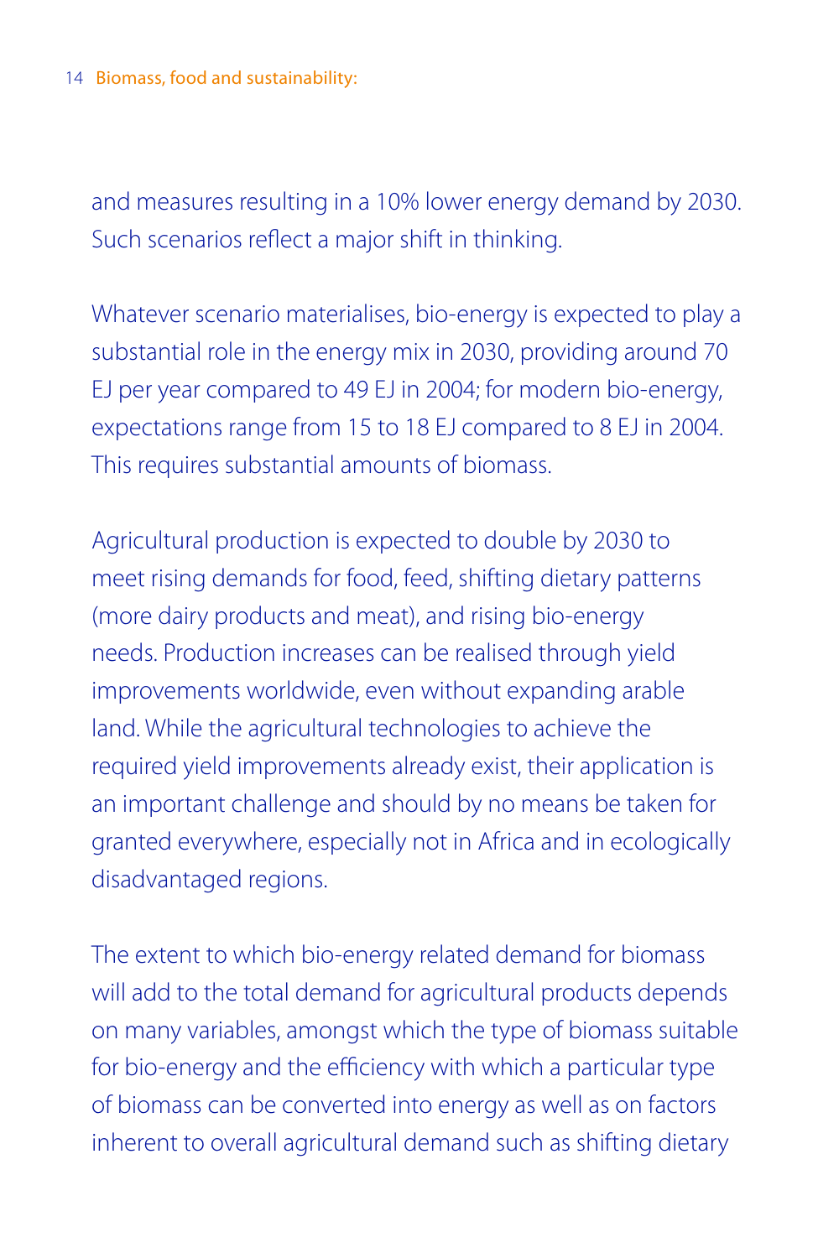and measures resulting in a 10% lower energy demand by 2030. Such scenarios reflect a major shift in thinking.

Whatever scenario materialises, bio-energy is expected to play a substantial role in the energy mix in 2030, providing around 70 EJ per year compared to 49 EJ in 2004; for modern bio-energy, expectations range from 15 to 18 EJ compared to 8 EJ in 2004. This requires substantial amounts of biomass.

Agricultural production is expected to double by 2030 to meet rising demands for food, feed, shifting dietary patterns (more dairy products and meat), and rising bio-energy needs. Production increases can be realised through yield improvements worldwide, even without expanding arable land. While the agricultural technologies to achieve the required yield improvements already exist, their application is an important challenge and should by no means be taken for granted everywhere, especially not in Africa and in ecologically disadvantaged regions.

The extent to which bio-energy related demand for biomass will add to the total demand for agricultural products depends on many variables, amongst which the type of biomass suitable for bio-energy and the efficiency with which a particular type of biomass can be converted into energy as well as on factors inherent to overall agricultural demand such as shifting dietary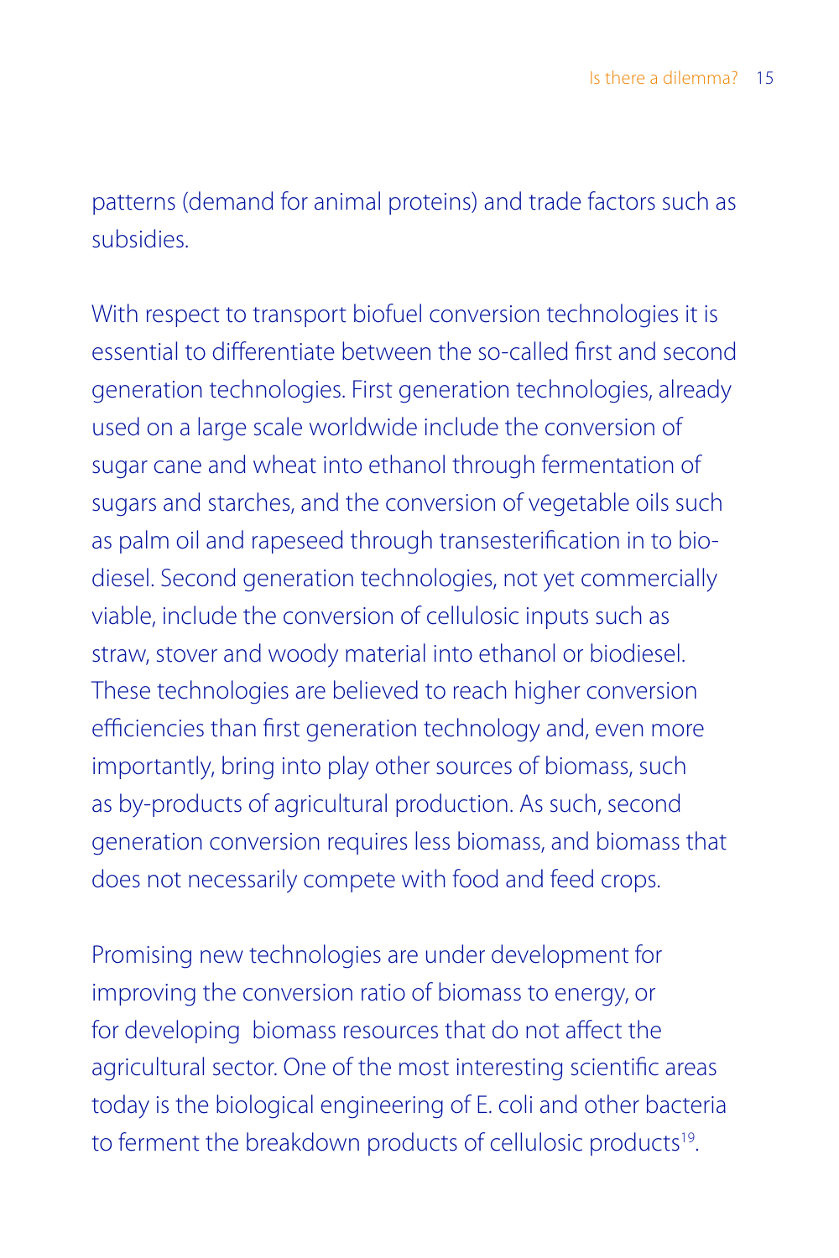patterns (demand for animal proteins) and trade factors such as subsidies.

With respect to transport biofuel conversion technologies it is essential to differentiate between the so-called first and second generation technologies. First generation technologies, already used on a large scale worldwide include the conversion of sugar cane and wheat into ethanol through fermentation of sugars and starches, and the conversion of vegetable oils such as palm oil and rapeseed through transesterification in to biodiesel. Second generation technologies, not yet commercially viable, include the conversion of cellulosic inputs such as straw, stover and woody material into ethanol or biodiesel. These technologies are believed to reach higher conversion efficiencies than first generation technology and, even more importantly, bring into play other sources of biomass, such as by-products of agricultural production. As such, second generation conversion requires less biomass, and biomass that does not necessarily compete with food and feed crops.

Promising new technologies are under development for improving the conversion ratio of biomass to energy, or for developing biomass resources that do not affect the agricultural sector. One of the most interesting scientific areas today is the biological engineering of E. coli and other bacteria to ferment the breakdown products of cellulosic products<sup>19</sup>.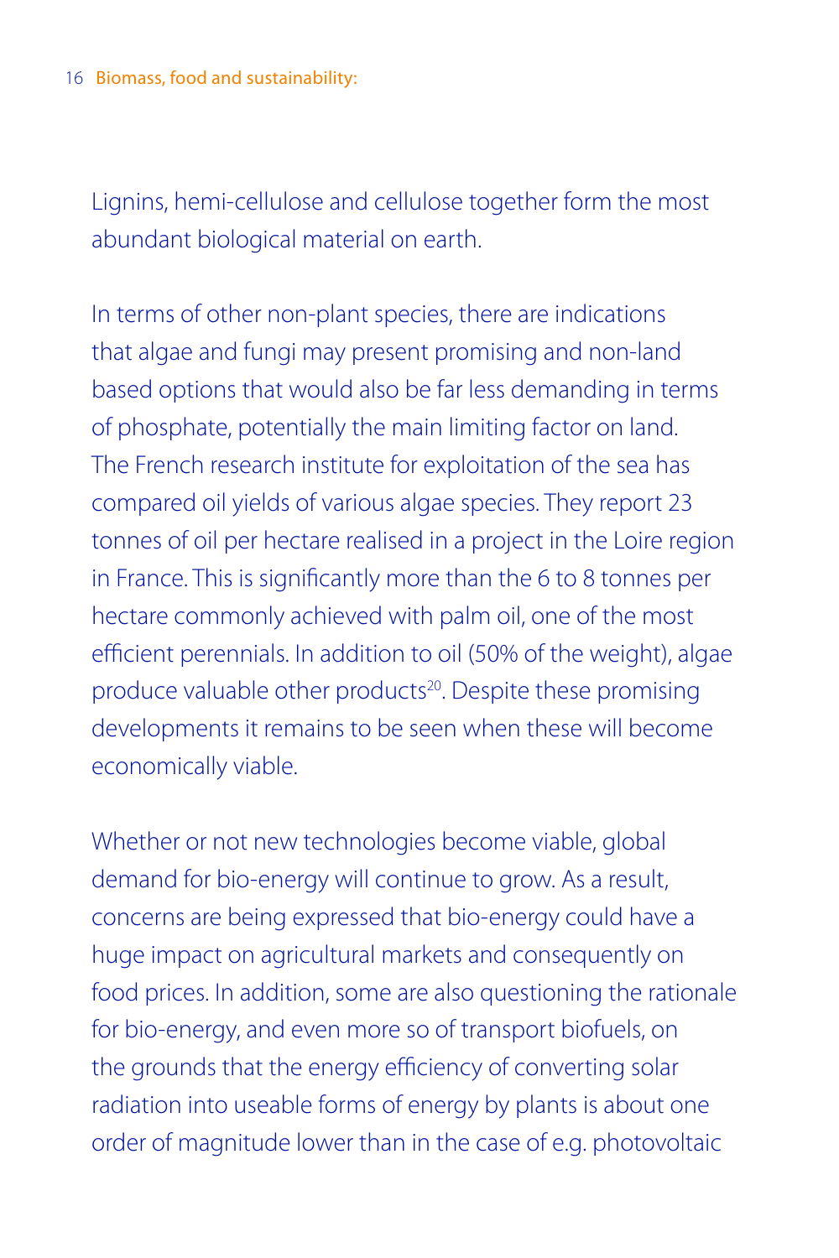Lignins, hemi-cellulose and cellulose together form the most abundant biological material on earth.

In terms of other non-plant species, there are indications that algae and fungi may present promising and non-land based options that would also be far less demanding in terms of phosphate, potentially the main limiting factor on land. The French research institute for exploitation of the sea has compared oil yields of various algae species. They report 23 tonnes of oil per hectare realised in a project in the Loire region in France. This is significantly more than the 6 to 8 tonnes per hectare commonly achieved with palm oil, one of the most efficient perennials. In addition to oil (50% of the weight), algae produce valuable other products<sup>20</sup>. Despite these promising developments it remains to be seen when these will become economically viable.

Whether or not new technologies become viable, global demand for bio-energy will continue to grow. As a result, concerns are being expressed that bio-energy could have a huge impact on agricultural markets and consequently on food prices. In addition, some are also questioning the rationale for bio-energy, and even more so of transport biofuels, on the grounds that the energy efficiency of converting solar radiation into useable forms of energy by plants is about one order of magnitude lower than in the case of e.g. photovoltaic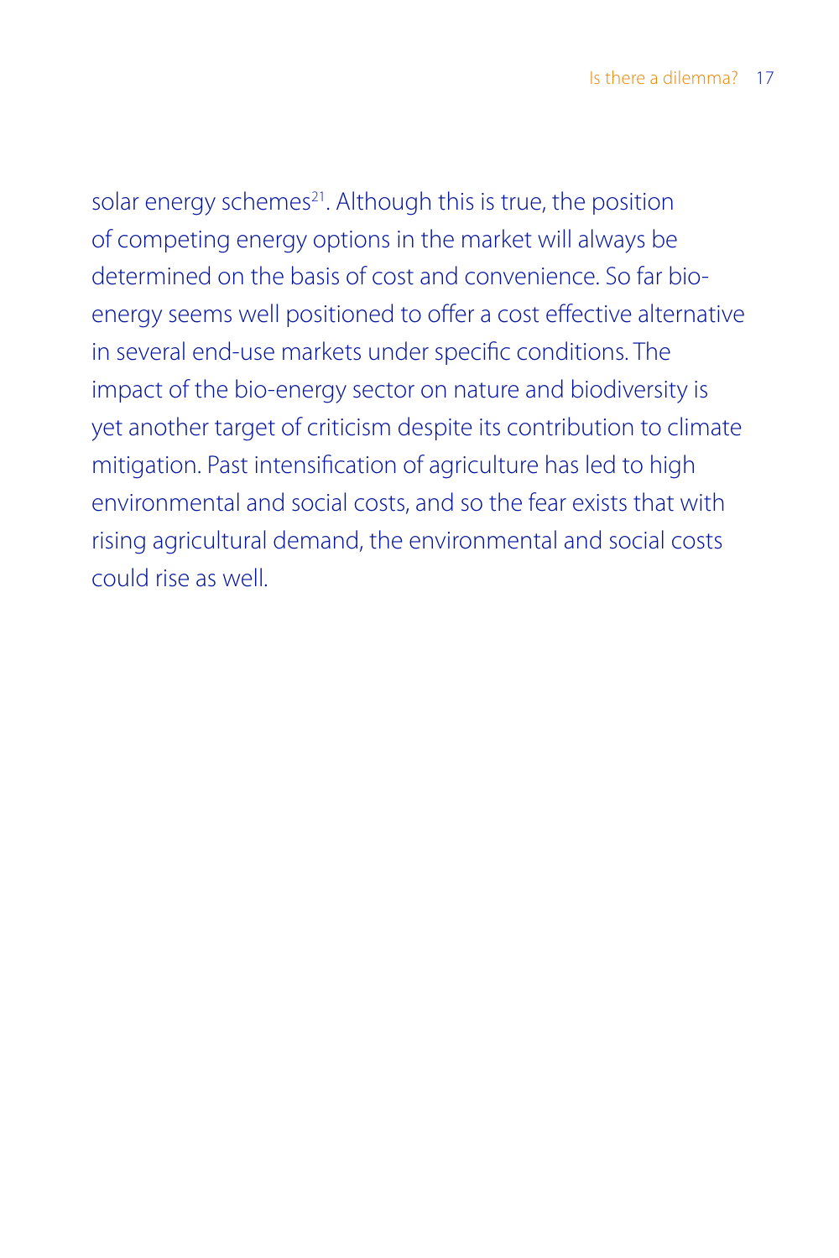solar energy schemes<sup>21</sup>. Although this is true, the position of competing energy options in the market will always be determined on the basis of cost and convenience. So far bioenergy seems well positioned to offer a cost effective alternative in several end-use markets under specific conditions. The impact of the bio-energy sector on nature and biodiversity is yet another target of criticism despite its contribution to climate mitigation. Past intensification of agriculture has led to high environmental and social costs, and so the fear exists that with rising agricultural demand, the environmental and social costs could rise as well.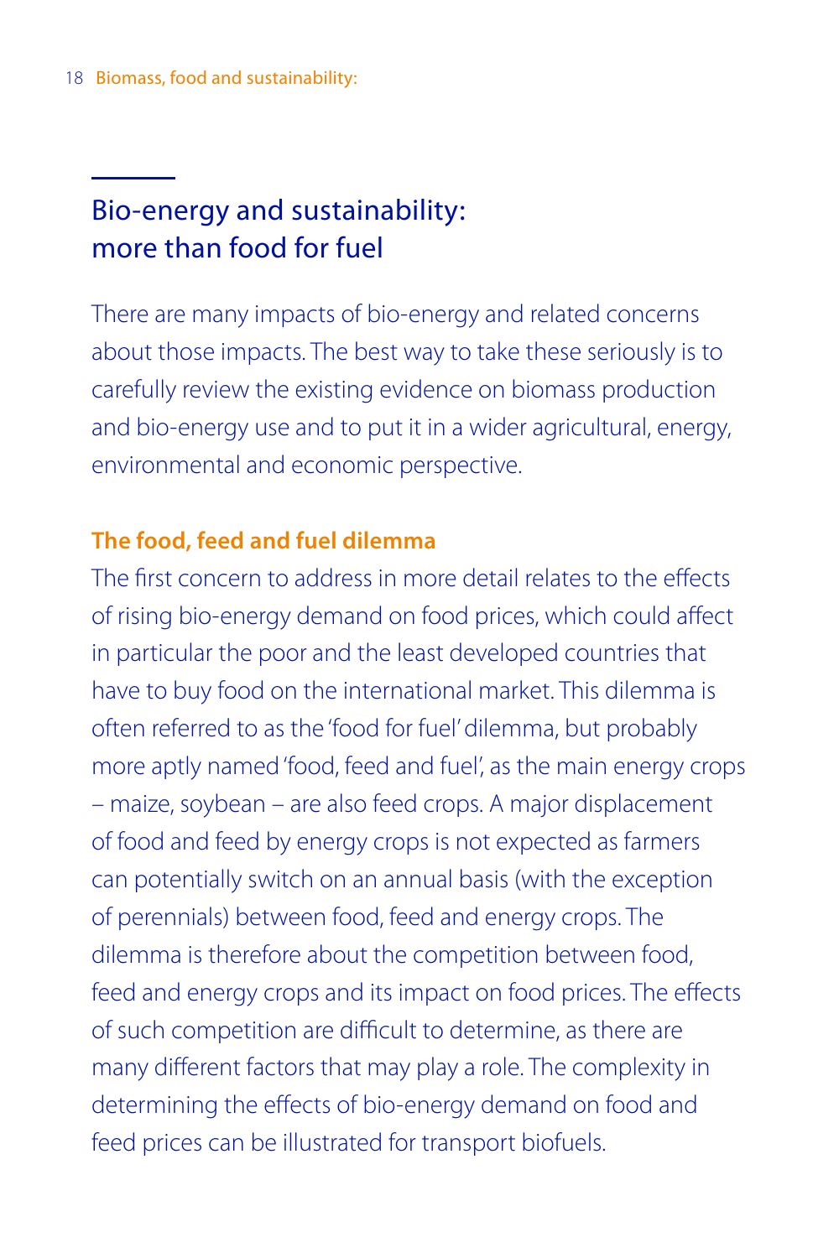# Bio-energy and sustainability: more than food for fuel

There are many impacts of bio-energy and related concerns about those impacts. The best way to take these seriously is to carefully review the existing evidence on biomass production and bio-energy use and to put it in a wider agricultural, energy, environmental and economic perspective.

## **The food, feed and fuel dilemma**

The first concern to address in more detail relates to the effects of rising bio-energy demand on food prices, which could affect in particular the poor and the least developed countries that have to buy food on the international market. This dilemma is often referred to as the 'food for fuel' dilemma, but probably more aptly named 'food, feed and fuel', as the main energy crops – maize, soybean – are also feed crops. A major displacement of food and feed by energy crops is not expected as farmers can potentially switch on an annual basis (with the exception of perennials) between food, feed and energy crops. The dilemma is therefore about the competition between food, feed and energy crops and its impact on food prices. The effects of such competition are difficult to determine, as there are many different factors that may play a role. The complexity in determining the effects of bio-energy demand on food and feed prices can be illustrated for transport biofuels.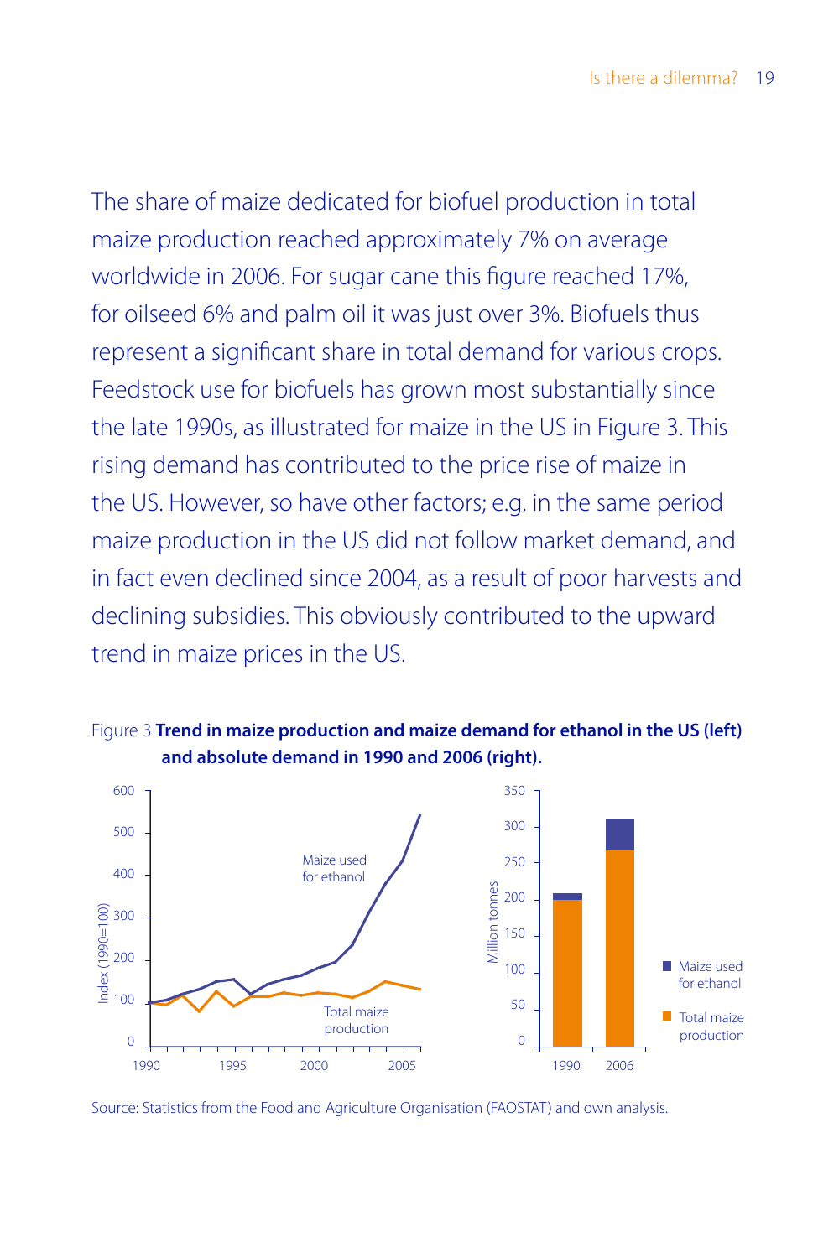The share of maize dedicated for biofuel production in total maize production reached approximately 7% on average worldwide in 2006. For sugar cane this figure reached 17%, for oilseed 6% and palm oil it was just over 3%. Biofuels thus represent a significant share in total demand for various crops. Feedstock use for biofuels has grown most substantially since the late 1990s, as illustrated for maize in the US in Figure 3. This rising demand has contributed to the price rise of maize in the US. However, so have other factors; e.g. in the same period maize production in the US did not follow market demand, and in fact even declined since 2004, as a result of poor harvests and declining subsidies. This obviously contributed to the upward trend in maize prices in the US.



Figure 3 **Trend in maize production and maize demand for ethanol in the US (left)**

Source: Statistics from the Food and Agriculture Organisation (FAOSTAT) and own analysis.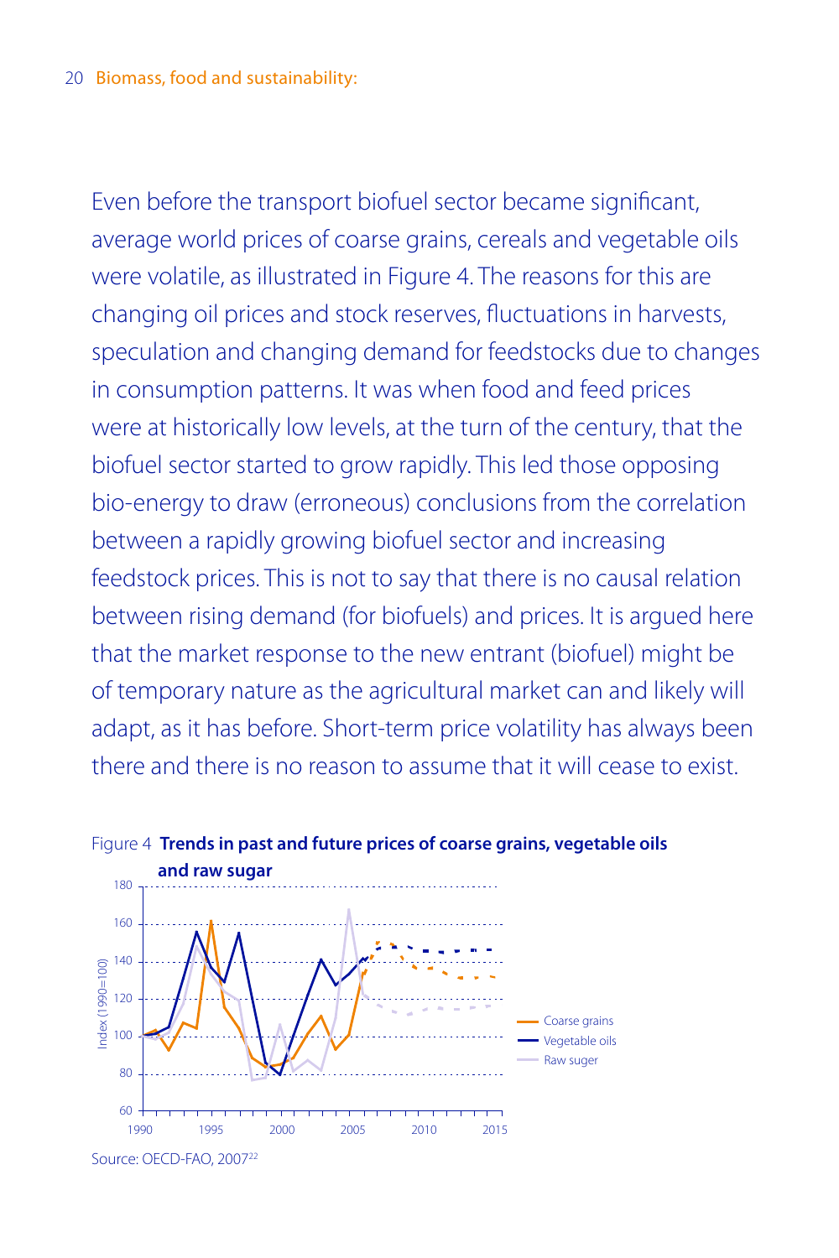Even before the transport biofuel sector became significant, average world prices of coarse grains, cereals and vegetable oils were volatile, as illustrated in Figure 4. The reasons for this are changing oil prices and stock reserves, fluctuations in harvests, speculation and changing demand for feedstocks due to changes in consumption patterns. It was when food and feed prices were at historically low levels, at the turn of the century, that the biofuel sector started to grow rapidly. This led those opposing bio-energy to draw (erroneous) conclusions from the correlation between a rapidly growing biofuel sector and increasing feedstock prices. This is not to say that there is no causal relation between rising demand (for biofuels) and prices. It is argued here that the market response to the new entrant (biofuel) might be of temporary nature as the agricultural market can and likely will adapt, as it has before. Short-term price volatility has always been there and there is no reason to assume that it will cease to exist.



Figure 4 **Trends in past and future prices of coarse grains, vegetable oils**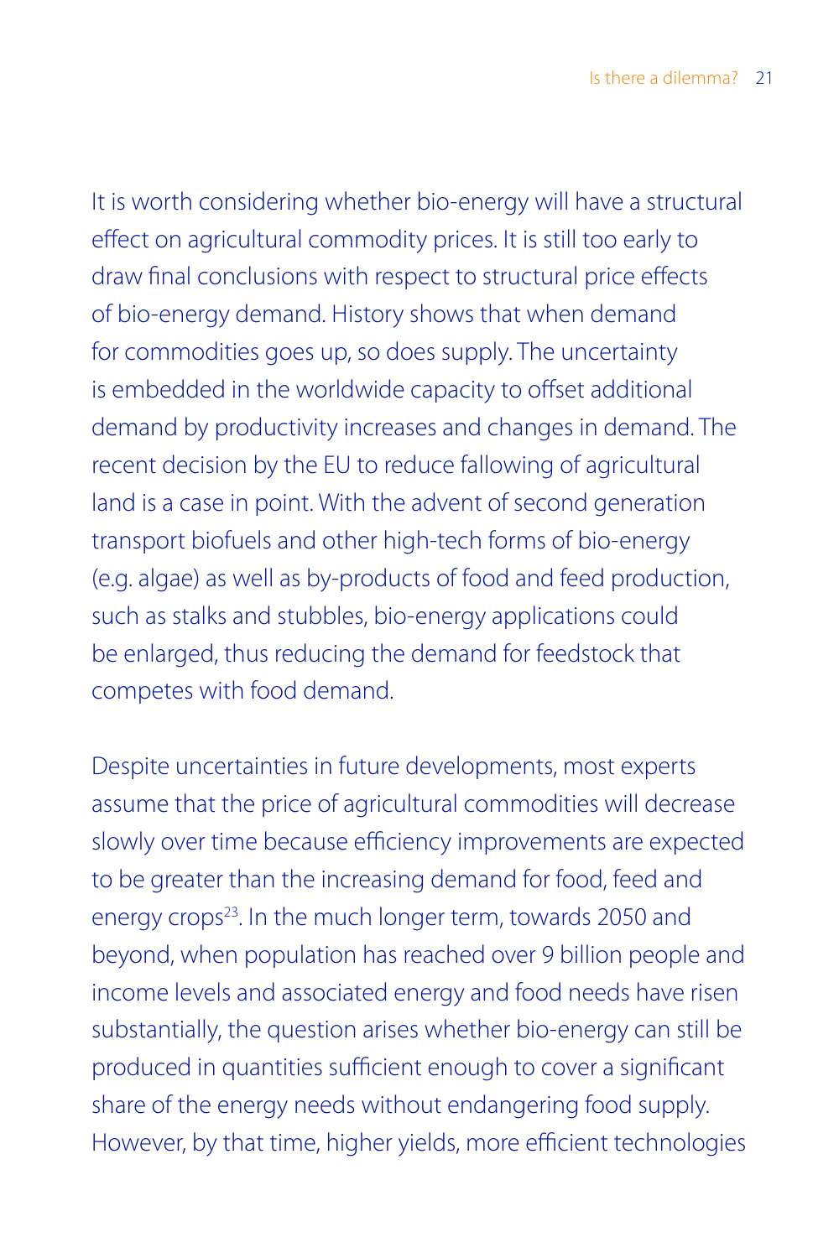It is worth considering whether bio-energy will have a structural effect on agricultural commodity prices. It is still too early to draw final conclusions with respect to structural price effects of bio-energy demand. History shows that when demand for commodities goes up, so does supply. The uncertainty is embedded in the worldwide capacity to offset additional demand by productivity increases and changes in demand. The recent decision by the EU to reduce fallowing of agricultural land is a case in point. With the advent of second generation transport biofuels and other high-tech forms of bio-energy (e.g. algae) as well as by-products of food and feed production, such as stalks and stubbles, bio-energy applications could be enlarged, thus reducing the demand for feedstock that competes with food demand.

Despite uncertainties in future developments, most experts assume that the price of agricultural commodities will decrease slowly over time because efficiency improvements are expected to be greater than the increasing demand for food, feed and energy crops<sup>23</sup>. In the much longer term, towards 2050 and beyond, when population has reached over 9 billion people and income levels and associated energy and food needs have risen substantially, the question arises whether bio-energy can still be produced in quantities sufficient enough to cover a significant share of the energy needs without endangering food supply. However, by that time, higher yields, more efficient technologies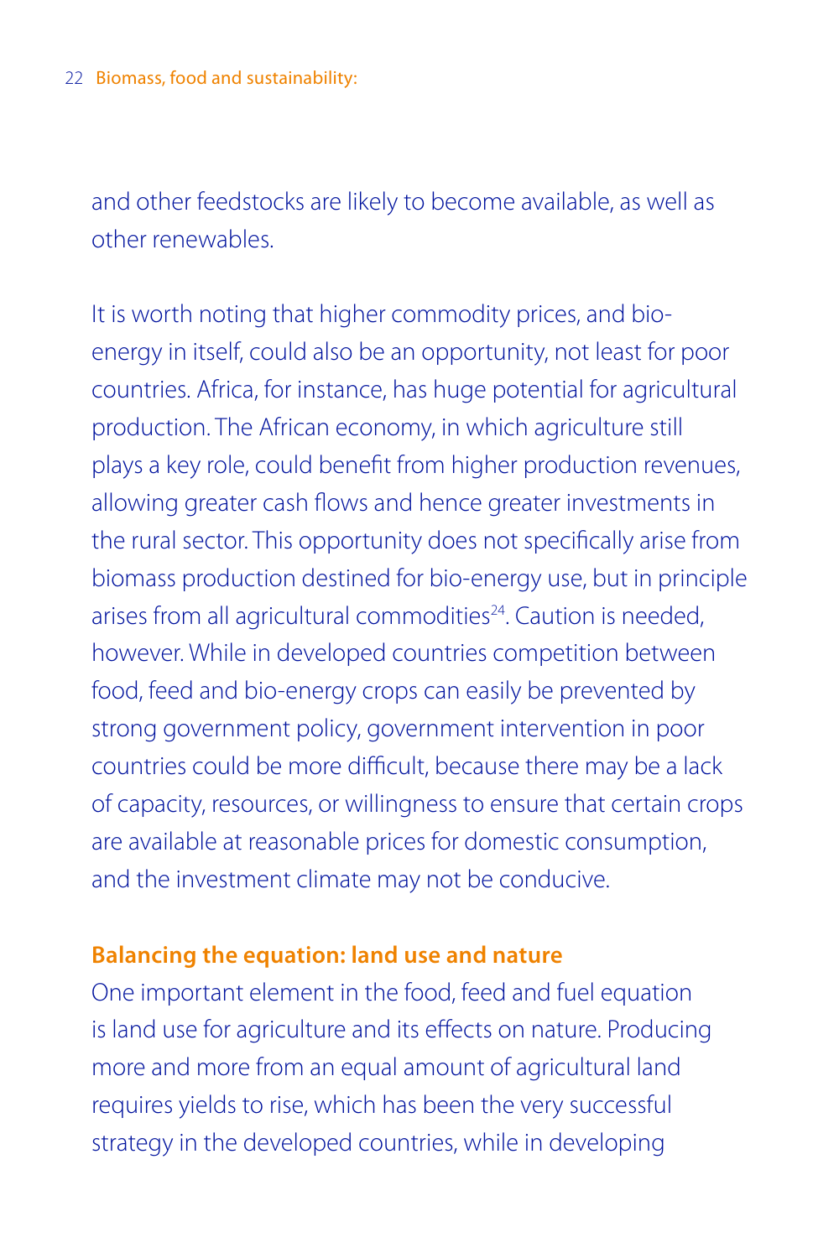and other feedstocks are likely to become available, as well as other renewables.

It is worth noting that higher commodity prices, and bioenergy in itself, could also be an opportunity, not least for poor countries. Africa, for instance, has huge potential for agricultural production. The African economy, in which agriculture still plays a key role, could benefit from higher production revenues, allowing greater cash flows and hence greater investments in the rural sector. This opportunity does not specifically arise from biomass production destined for bio-energy use, but in principle arises from all agricultural commodities<sup>24</sup>. Caution is needed, however. While in developed countries competition between food, feed and bio-energy crops can easily be prevented by strong government policy, government intervention in poor countries could be more difficult, because there may be a lack of capacity, resources, or willingness to ensure that certain crops are available at reasonable prices for domestic consumption, and the investment climate may not be conducive.

### **Balancing the equation: land use and nature**

One important element in the food, feed and fuel equation is land use for agriculture and its effects on nature. Producing more and more from an equal amount of agricultural land requires yields to rise, which has been the very successful strategy in the developed countries, while in developing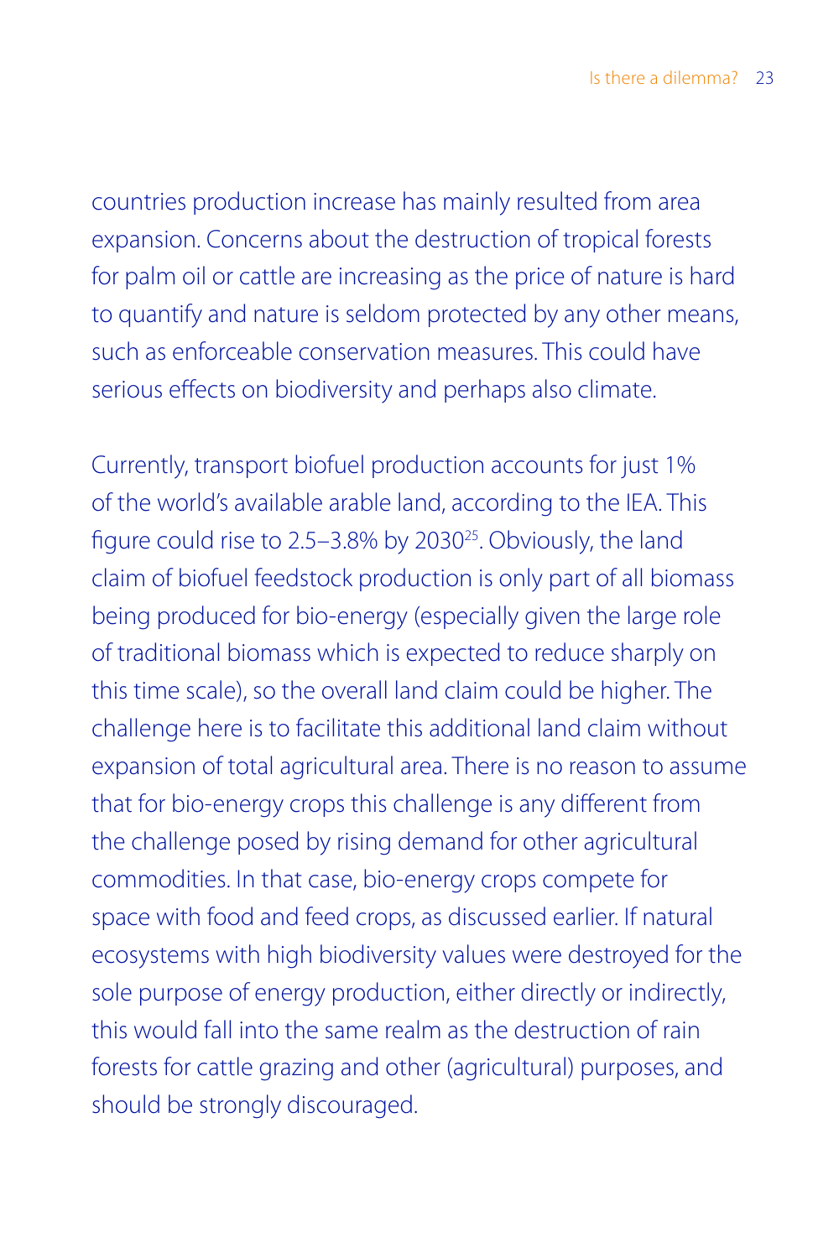countries production increase has mainly resulted from area expansion. Concerns about the destruction of tropical forests for palm oil or cattle are increasing as the price of nature is hard to quantify and nature is seldom protected by any other means, such as enforceable conservation measures. This could have serious effects on biodiversity and perhaps also climate.

Currently, transport biofuel production accounts for just 1% of the world's available arable land, according to the IEA. This figure could rise to 2.5–3.8% by 2030<sup>25</sup>. Obviously, the land claim of biofuel feedstock production is only part of all biomass being produced for bio-energy (especially given the large role of traditional biomass which is expected to reduce sharply on this time scale), so the overall land claim could be higher. The challenge here is to facilitate this additional land claim without expansion of total agricultural area. There is no reason to assume that for bio-energy crops this challenge is any different from the challenge posed by rising demand for other agricultural commodities. In that case, bio-energy crops compete for space with food and feed crops, as discussed earlier. If natural ecosystems with high biodiversity values were destroyed for the sole purpose of energy production, either directly or indirectly, this would fall into the same realm as the destruction of rain forests for cattle grazing and other (agricultural) purposes, and should be strongly discouraged.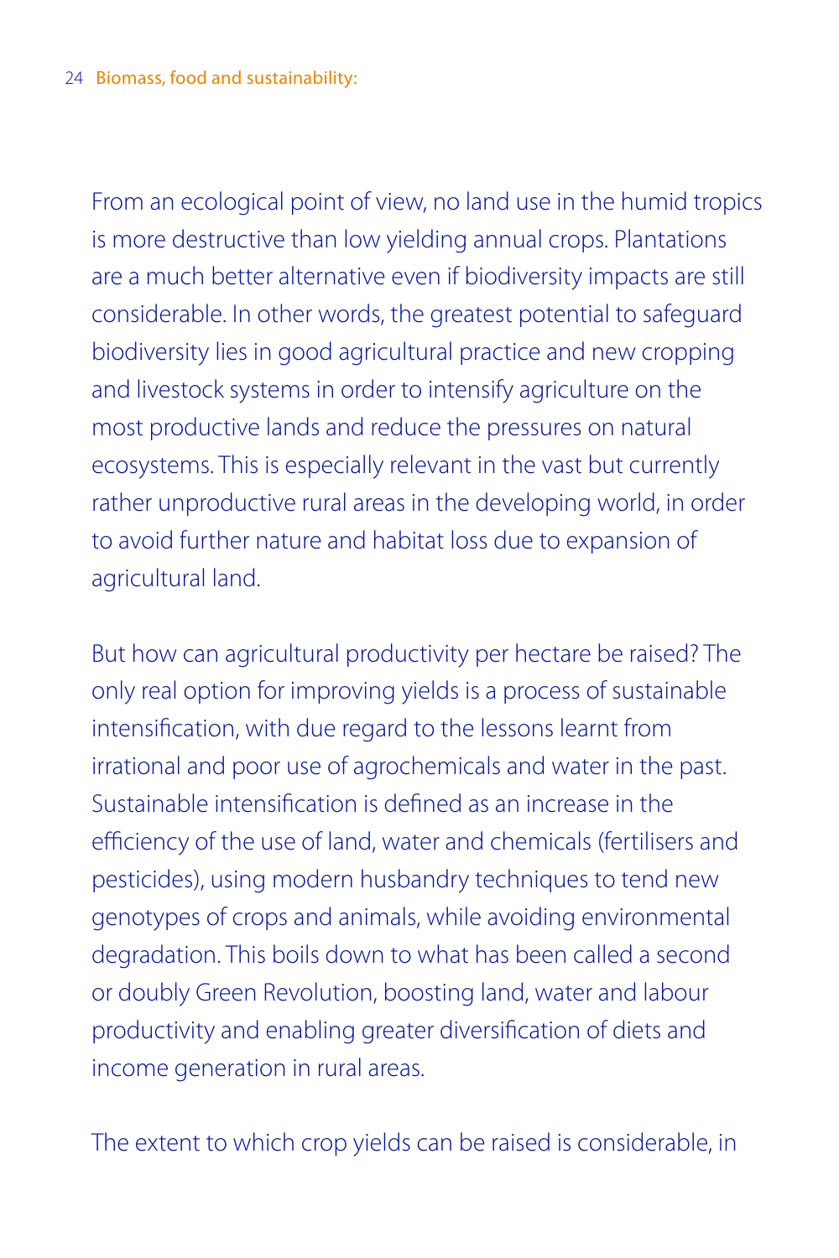From an ecological point of view, no land use in the humid tropics is more destructive than low yielding annual crops. Plantations are a much better alternative even if biodiversity impacts are still considerable. In other words, the greatest potential to safeguard biodiversity lies in good agricultural practice and new cropping and livestock systems in order to intensify agriculture on the most productive lands and reduce the pressures on natural ecosystems. This is especially relevant in the vast but currently rather unproductive rural areas in the developing world, in order to avoid further nature and habitat loss due to expansion of agricultural land.

But how can agricultural productivity per hectare be raised? The only real option for improving yields is a process of sustainable intensification, with due regard to the lessons learnt from irrational and poor use of agrochemicals and water in the past. Sustainable intensification is defined as an increase in the efficiency of the use of land, water and chemicals (fertilisers and pesticides), using modern husbandry techniques to tend new genotypes of crops and animals, while avoiding environmental degradation. This boils down to what has been called a second or doubly Green Revolution, boosting land, water and labour productivity and enabling greater diversification of diets and income generation in rural areas.

The extent to which crop yields can be raised is considerable, in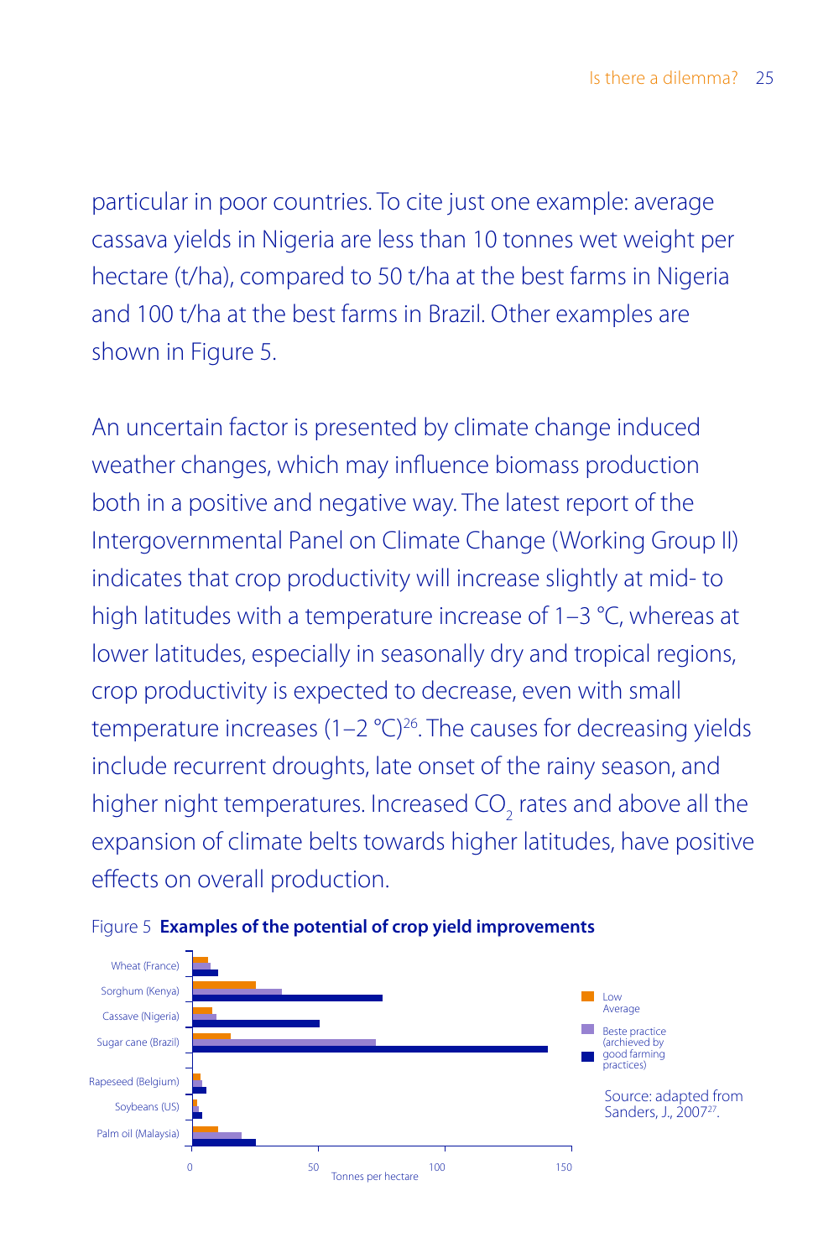particular in poor countries. To cite just one example: average cassava yields in Nigeria are less than 10 tonnes wet weight per hectare (t/ha), compared to 50 t/ha at the best farms in Nigeria and 100 t/ha at the best farms in Brazil. Other examples are shown in Figure 5.

An uncertain factor is presented by climate change induced weather changes, which may influence biomass production both in a positive and negative way. The latest report of the Intergovernmental Panel on Climate Change (Working Group II) indicates that crop productivity will increase slightly at mid- to high latitudes with a temperature increase of 1–3 °C, whereas at lower latitudes, especially in seasonally dry and tropical regions, crop productivity is expected to decrease, even with small temperature increases  $(1-2 \degree C)^{26}$ . The causes for decreasing yields include recurrent droughts, late onset of the rainy season, and higher night temperatures. Increased CO<sub>2</sub> rates and above all the expansion of climate belts towards higher latitudes, have positive effects on overall production.



Figure 5 **Examples of the potential of crop yield improvements**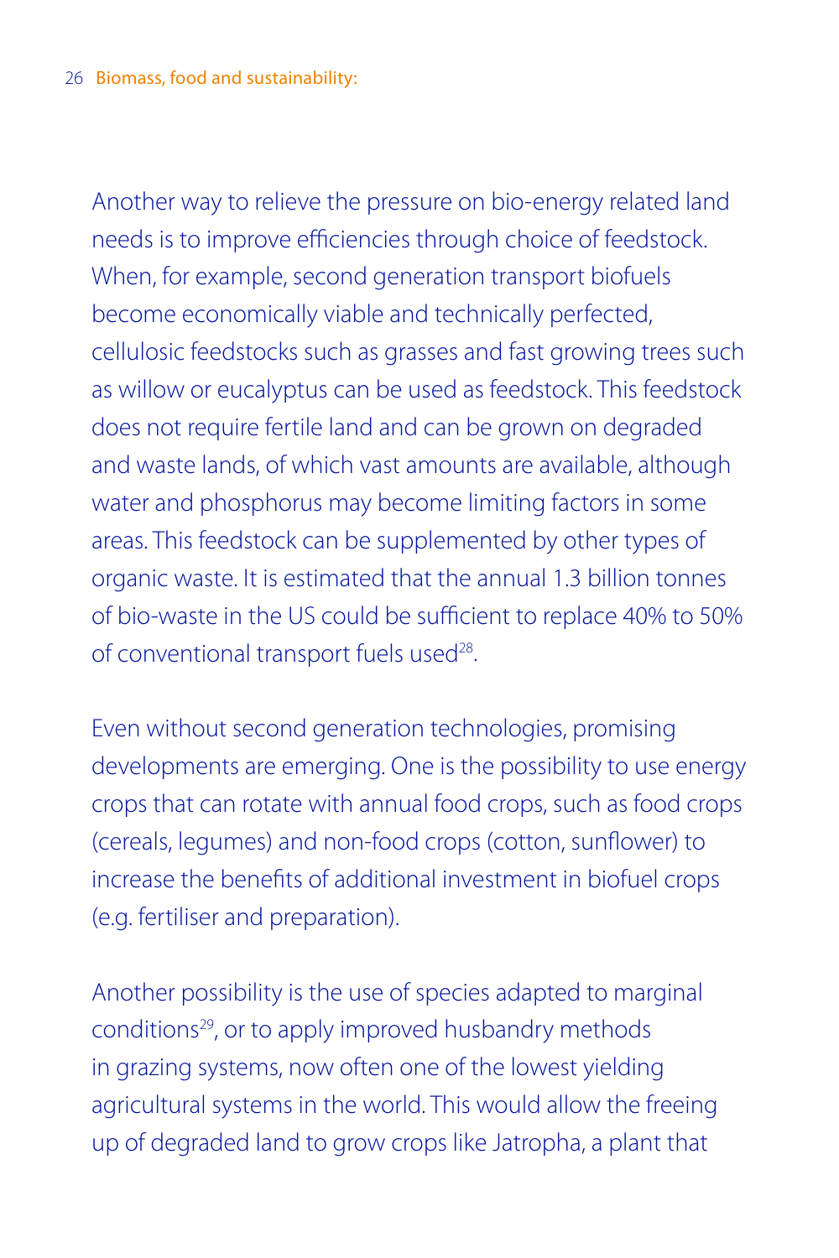Another way to relieve the pressure on bio-energy related land needs is to improve efficiencies through choice of feedstock. When, for example, second generation transport biofuels become economically viable and technically perfected, cellulosic feedstocks such as grasses and fast growing trees such as willow or eucalyptus can be used as feedstock. This feedstock does not require fertile land and can be grown on degraded and waste lands, of which vast amounts are available, although water and phosphorus may become limiting factors in some areas. This feedstock can be supplemented by other types of organic waste. It is estimated that the annual 1.3 billion tonnes of bio-waste in the US could be sufficient to replace 40% to 50% of conventional transport fuels used<sup>28</sup>.

Even without second generation technologies, promising developments are emerging. One is the possibility to use energy crops that can rotate with annual food crops, such as food crops (cereals, legumes) and non-food crops (cotton, sunflower) to increase the benefits of additional investment in biofuel crops (e.g. fertiliser and preparation).

Another possibility is the use of species adapted to marginal conditions29, or to apply improved husbandry methods in grazing systems, now often one of the lowest yielding agricultural systems in the world. This would allow the freeing up of degraded land to grow crops like Jatropha, a plant that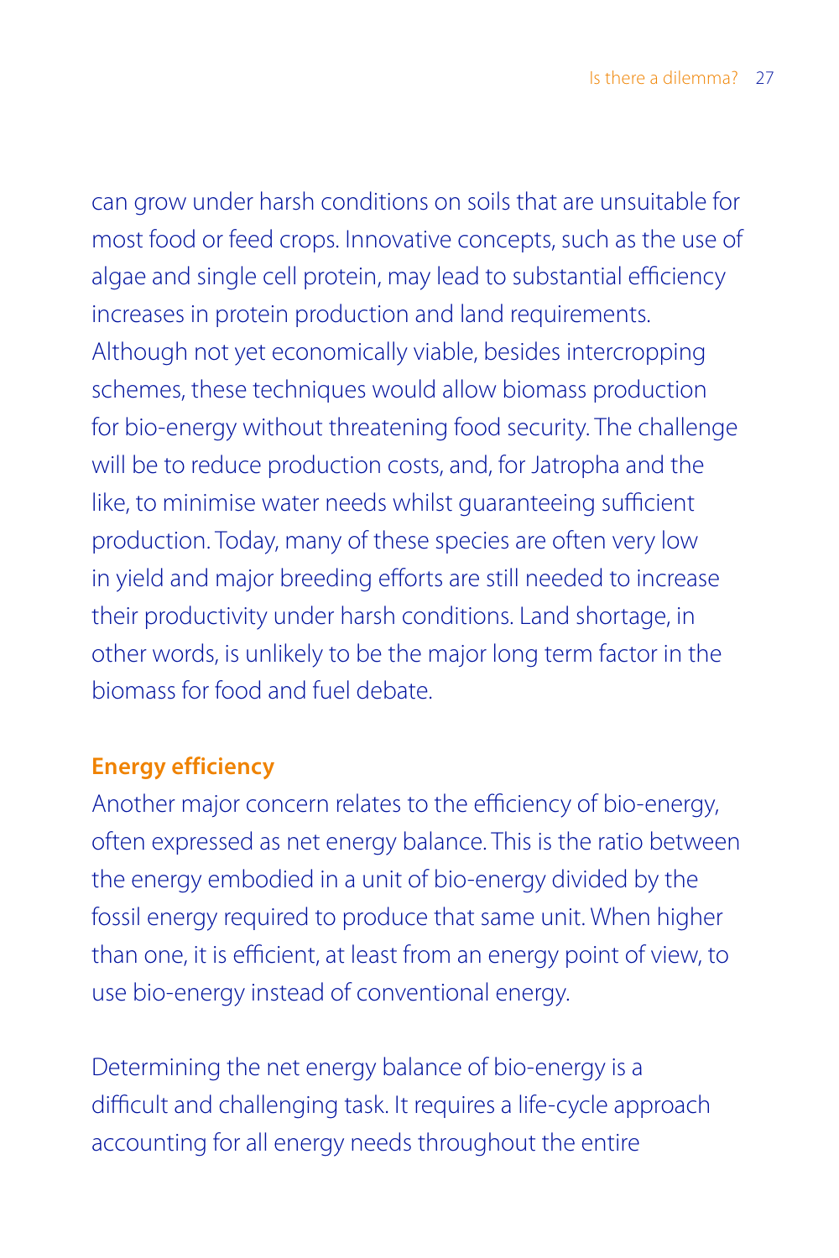can grow under harsh conditions on soils that are unsuitable for most food or feed crops. Innovative concepts, such as the use of algae and single cell protein, may lead to substantial efficiency increases in protein production and land requirements. Although not yet economically viable, besides intercropping schemes, these techniques would allow biomass production for bio-energy without threatening food security. The challenge will be to reduce production costs, and, for Jatropha and the like, to minimise water needs whilst guaranteeing sufficient production. Today, many of these species are often very low in yield and major breeding efforts are still needed to increase their productivity under harsh conditions. Land shortage, in other words, is unlikely to be the major long term factor in the biomass for food and fuel debate.

## **Energy efficiency**

Another major concern relates to the efficiency of bio-energy, often expressed as net energy balance. This is the ratio between the energy embodied in a unit of bio-energy divided by the fossil energy required to produce that same unit. When higher than one, it is efficient, at least from an energy point of view, to use bio-energy instead of conventional energy.

Determining the net energy balance of bio-energy is a difficult and challenging task. It requires a life-cycle approach accounting for all energy needs throughout the entire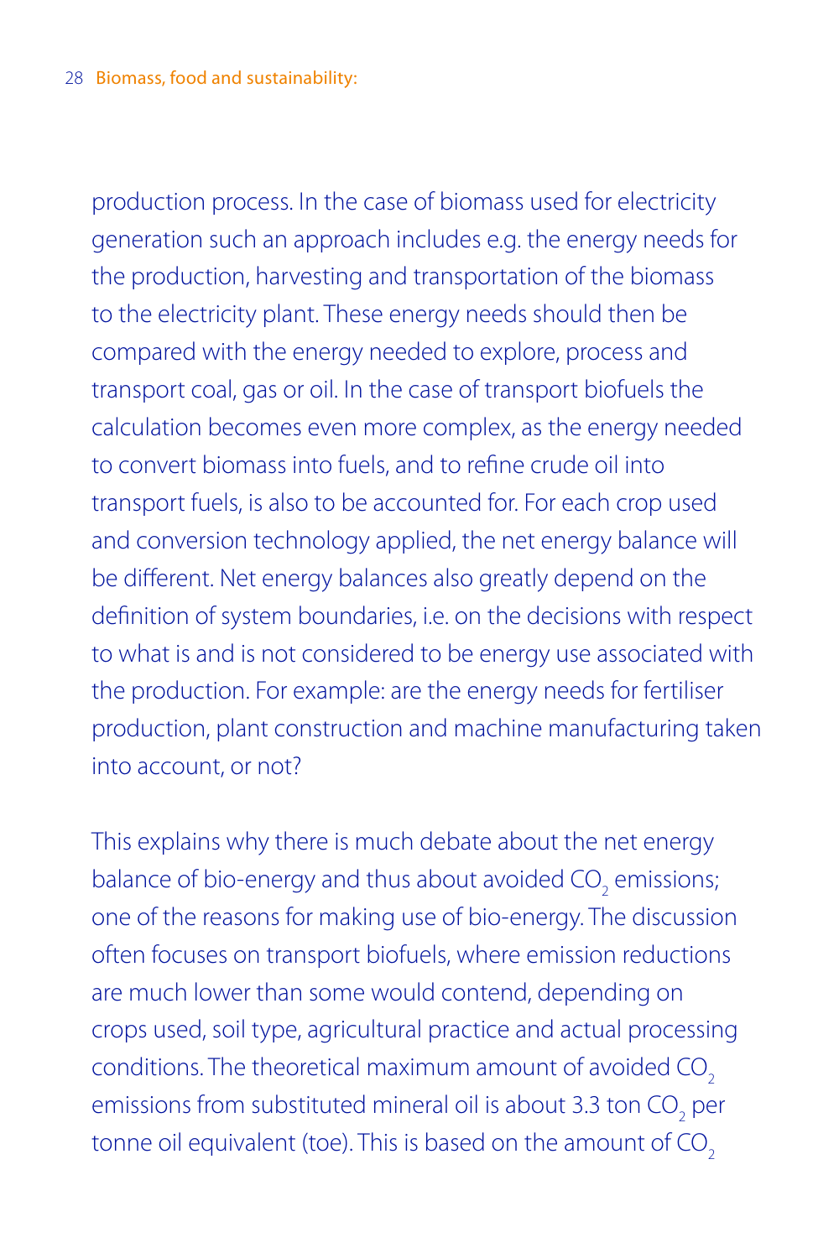production process. In the case of biomass used for electricity generation such an approach includes e.g. the energy needs for the production, harvesting and transportation of the biomass to the electricity plant. These energy needs should then be compared with the energy needed to explore, process and transport coal, gas or oil. In the case of transport biofuels the calculation becomes even more complex, as the energy needed to convert biomass into fuels, and to refine crude oil into transport fuels, is also to be accounted for. For each crop used and conversion technology applied, the net energy balance will be different. Net energy balances also greatly depend on the definition of system boundaries, i.e. on the decisions with respect to what is and is not considered to be energy use associated with the production. For example: are the energy needs for fertiliser production, plant construction and machine manufacturing taken into account, or not?

This explains why there is much debate about the net energy balance of bio-energy and thus about avoided  $\mathsf{CO}_2$  emissions; one of the reasons for making use of bio-energy. The discussion often focuses on transport biofuels, where emission reductions are much lower than some would contend, depending on crops used, soil type, agricultural practice and actual processing conditions. The theoretical maximum amount of avoided CO<sub>2</sub> emissions from substituted mineral oil is about 3.3 ton  $\mathrm{CO}_2^{\phantom{\dag}}$  per tonne oil equivalent (toe). This is based on the amount of CO<sub>2</sub>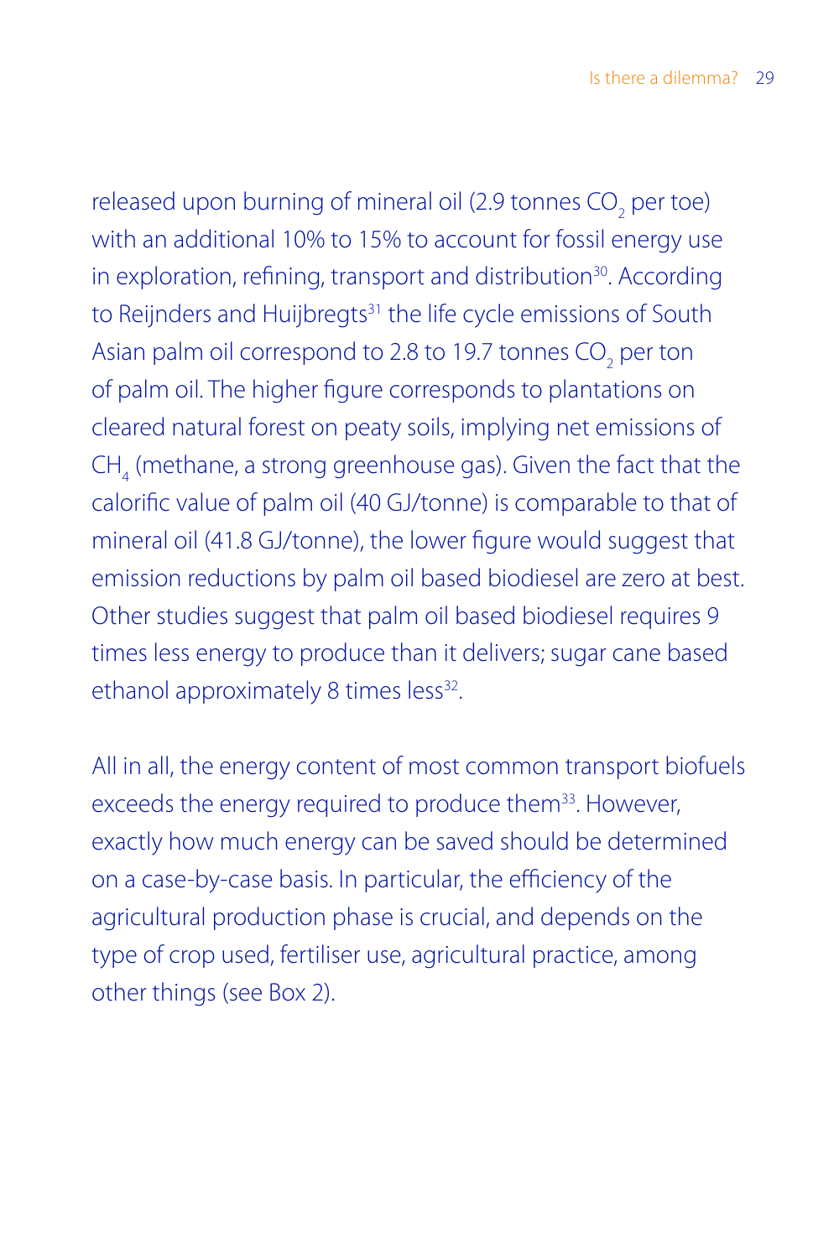released upon burning of mineral oil (2.9 tonnes  $\mathrm{CO}_2^{\phantom{\dag}}$  per toe) with an additional 10% to 15% to account for fossil energy use in exploration, refining, transport and distribution<sup>30</sup>. According to Reijnders and Huijbregts<sup>31</sup> the life cycle emissions of South Asian palm oil correspond to 2.8 to 19.7 tonnes  $\mathrm{CO}_2^{\phantom{\dag}}$  per ton of palm oil. The higher figure corresponds to plantations on cleared natural forest on peaty soils, implying net emissions of  $CH<sub>4</sub>$  (methane, a strong greenhouse gas). Given the fact that the calorific value of palm oil (40 GJ/tonne) is comparable to that of mineral oil (41.8 GJ/tonne), the lower figure would suggest that emission reductions by palm oil based biodiesel are zero at best. Other studies suggest that palm oil based biodiesel requires 9 times less energy to produce than it delivers; sugar cane based ethanol approximately 8 times less<sup>32</sup>.

All in all, the energy content of most common transport biofuels exceeds the energy required to produce them<sup>33</sup>. However, exactly how much energy can be saved should be determined on a case-by-case basis. In particular, the efficiency of the agricultural production phase is crucial, and depends on the type of crop used, fertiliser use, agricultural practice, among other things (see Box 2).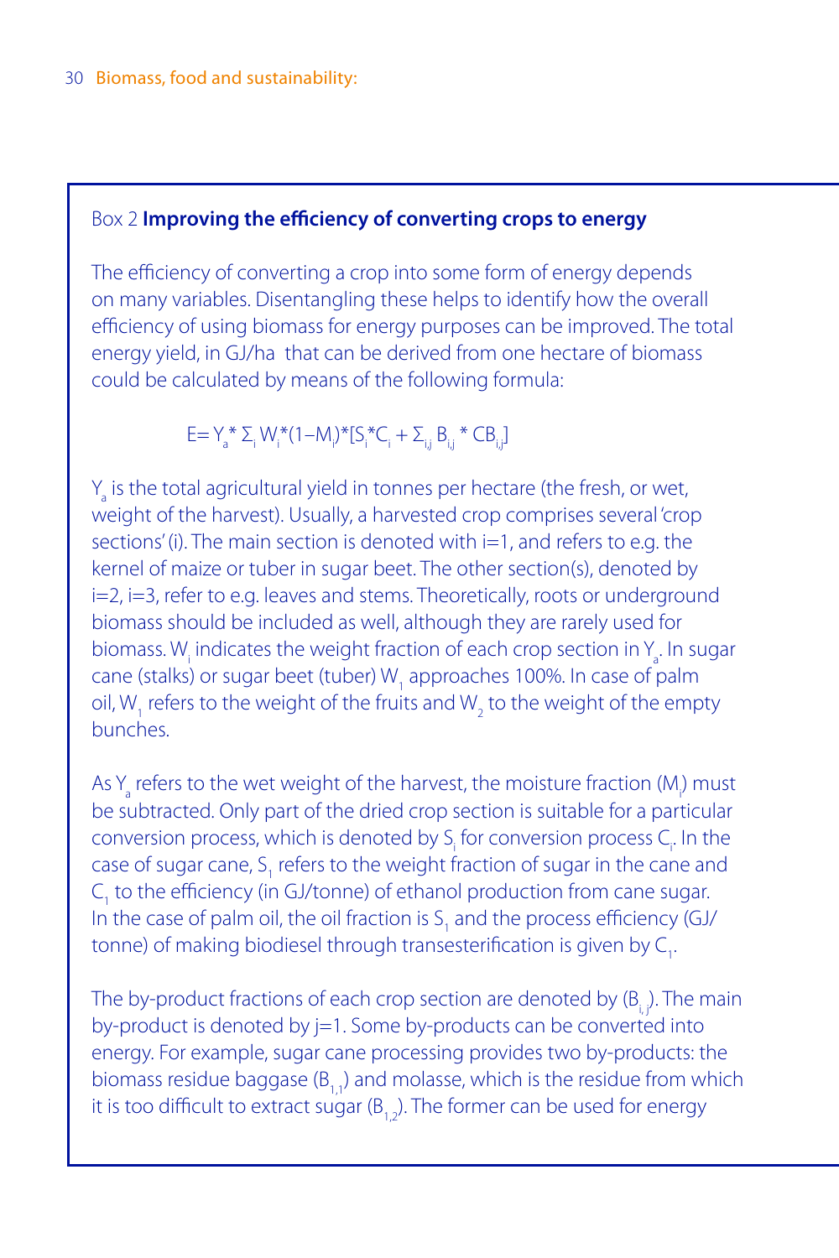#### Box 2 **Improving the efficiency of converting crops to energy**

The efficiency of converting a crop into some form of energy depends on many variables. Disentangling these helps to identify how the overall efficiency of using biomass for energy purposes can be improved. The total energy yield, in GJ/ha that can be derived from one hectare of biomass could be calculated by means of the following formula:

E= Y<sub>a</sub>\* Σ<sub>i</sub> W<sub>i</sub>\*(1–M<sub>i</sub>)\*[S<sub>i</sub>\*C<sub>i</sub> + Σ<sub>ij</sub> B<sub>ij</sub> \* CB<sub>ij</sub>]

 $Y_a$  is the total agricultural yield in tonnes per hectare (the fresh, or wet, weight of the harvest). Usually, a harvested crop comprises several 'crop sections' (i). The main section is denoted with i=1, and refers to e.g. the kernel of maize or tuber in sugar beet. The other section(s), denoted by i=2, i=3, refer to e.g. leaves and stems. Theoretically, roots or underground biomass should be included as well, although they are rarely used for biomass. W<sub>i</sub> indicates the weight fraction of each crop section in  $Y_a$ . In sugar cane (stalks) or sugar beet (tuber)  $W_1$  approaches 100%. In case of palm oil, W<sub>1</sub> refers to the weight of the fruits and W<sub>2</sub> to the weight of the empty bunches.

As  $Y_a$  refers to the wet weight of the harvest, the moisture fraction (M<sub>)</sub> must be subtracted. Only part of the dried crop section is suitable for a particular conversion process, which is denoted by  $S_i$  for conversion process  $C_i$ . In the case of sugar cane,  $S_1$  refers to the weight fraction of sugar in the cane and  $C_1$  to the efficiency (in GJ/tonne) of ethanol production from cane sugar. In the case of palm oil, the oil fraction is  $S_1$  and the process efficiency (GJ/ tonne) of making biodiesel through transesterification is given by  $\mathsf{C}_{\mathsf{I}}$ .

The by-product fractions of each crop section are denoted by  $(B_i, j)$ . The main by-product is denoted by  $j=1$ . Some by-products can be converted into energy. For example, sugar cane processing provides two by-products: the biomass residue baggase  $(B_1,1)$  and molasse, which is the residue from which it is too difficult to extract sugar  $(B_1, B_2)$ . The former can be used for energy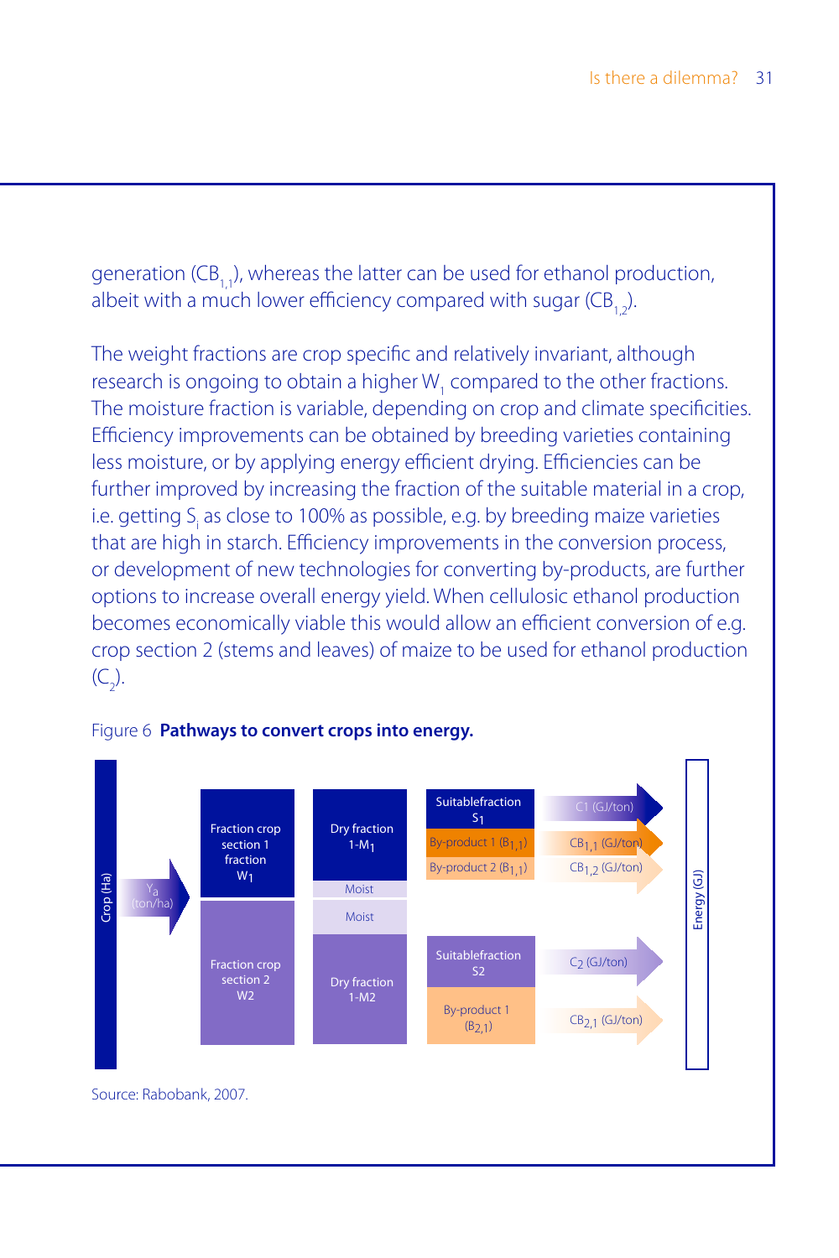generation (CB, J), whereas the latter can be used for ethanol production, albeit with a much lower efficiency compared with sugar  $(CB, 1)$ .

The weight fractions are crop specific and relatively invariant, although research is ongoing to obtain a higher  $W_1$  compared to the other fractions. The moisture fraction is variable, depending on crop and climate specificities. Efficiency improvements can be obtained by breeding varieties containing less moisture, or by applying energy efficient drying. Efficiencies can be further improved by increasing the fraction of the suitable material in a crop, i.e. getting  $S<sub>i</sub>$  as close to 100% as possible, e.g. by breeding maize varieties that are high in starch. Efficiency improvements in the conversion process, or development of new technologies for converting by-products, are further options to increase overall energy yield. When cellulosic ethanol production becomes economically viable this would allow an efficient conversion of e.g. crop section 2 (stems and leaves) of maize to be used for ethanol production  $(C_2)$ .



#### Figure 6 **Pathways to convert crops into energy.**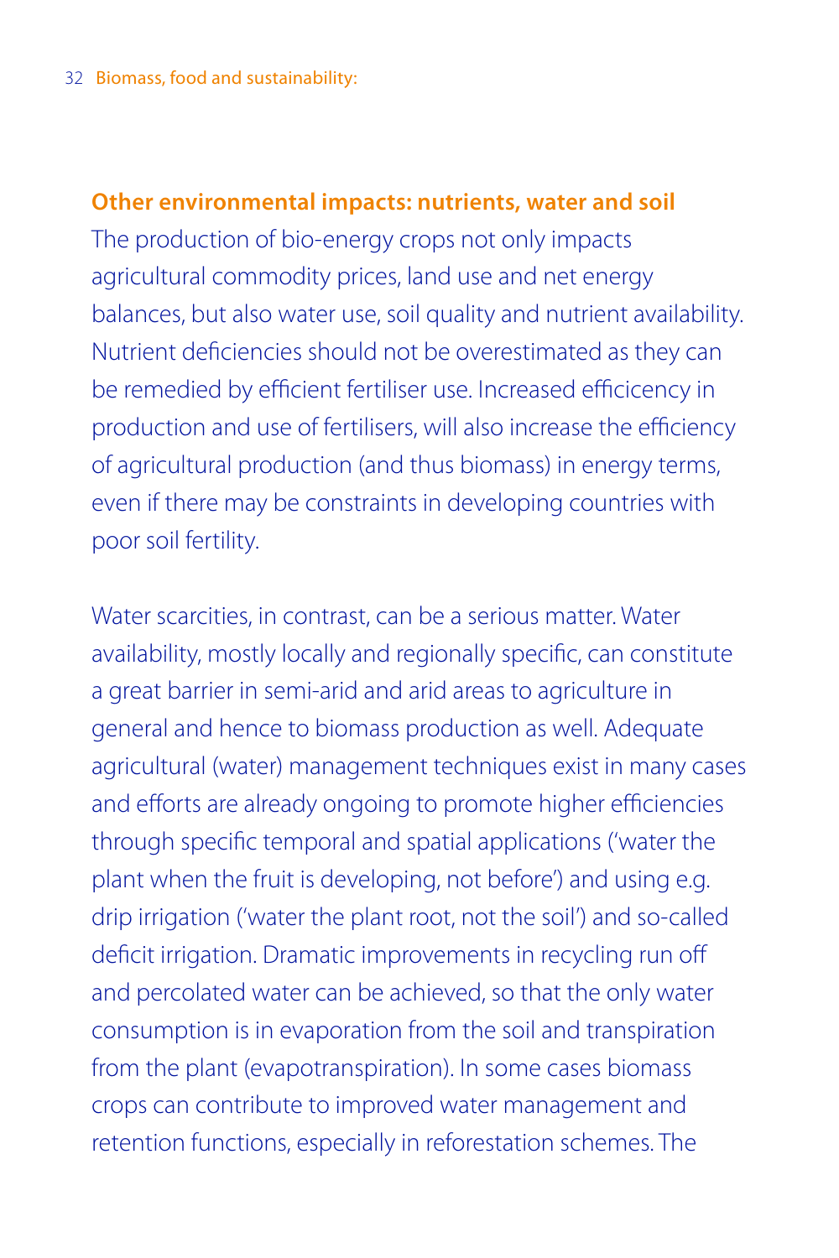### **Other environmental impacts: nutrients, water and soil**

The production of bio-energy crops not only impacts agricultural commodity prices, land use and net energy balances, but also water use, soil quality and nutrient availability. Nutrient deficiencies should not be overestimated as they can be remedied by efficient fertiliser use. Increased efficicency in production and use of fertilisers, will also increase the efficiency of agricultural production (and thus biomass) in energy terms, even if there may be constraints in developing countries with poor soil fertility.

Water scarcities, in contrast, can be a serious matter. Water availability, mostly locally and regionally specific, can constitute a great barrier in semi-arid and arid areas to agriculture in general and hence to biomass production as well. Adequate agricultural (water) management techniques exist in many cases and efforts are already ongoing to promote higher efficiencies through specific temporal and spatial applications ('water the plant when the fruit is developing, not before') and using e.g. drip irrigation ('water the plant root, not the soil') and so-called deficit irrigation. Dramatic improvements in recycling run off and percolated water can be achieved, so that the only water consumption is in evaporation from the soil and transpiration from the plant (evapotranspiration). In some cases biomass crops can contribute to improved water management and retention functions, especially in reforestation schemes. The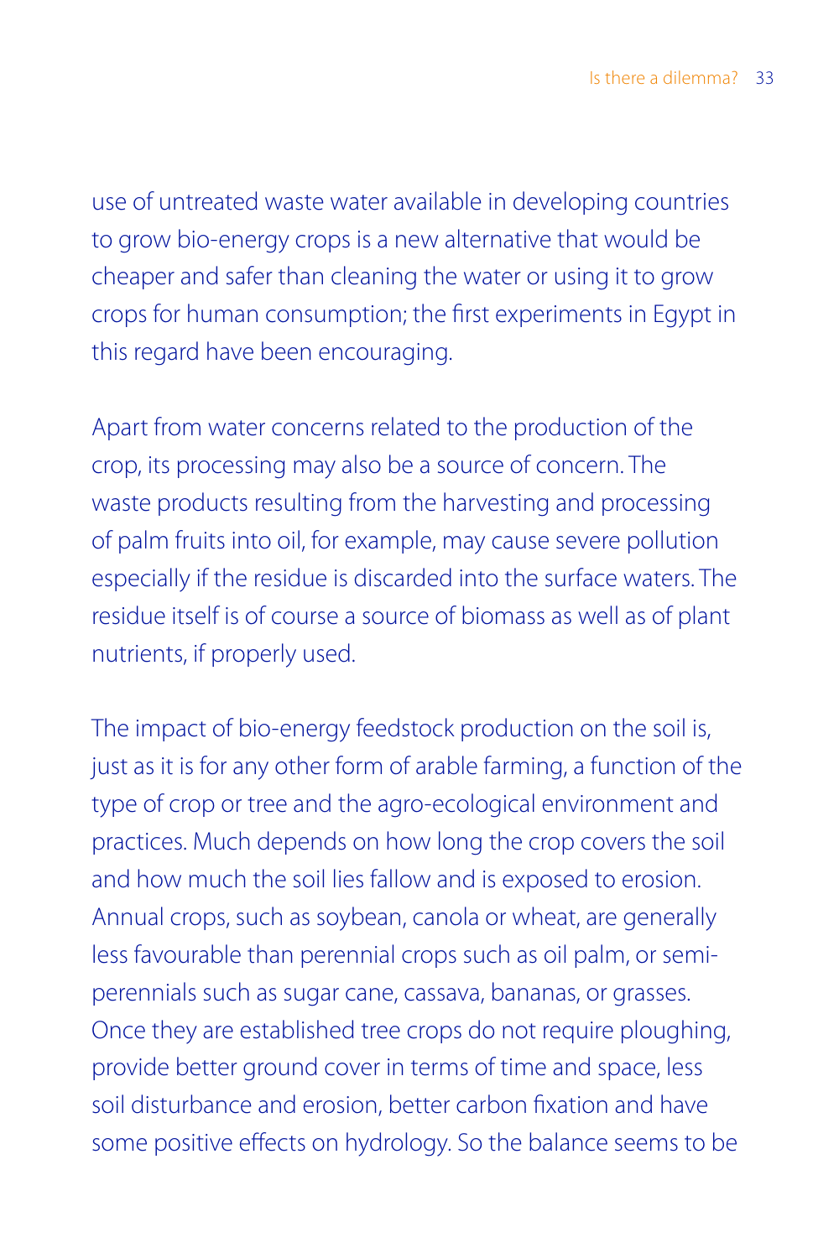use of untreated waste water available in developing countries to grow bio-energy crops is a new alternative that would be cheaper and safer than cleaning the water or using it to grow crops for human consumption; the first experiments in Egypt in this regard have been encouraging.

Apart from water concerns related to the production of the crop, its processing may also be a source of concern. The waste products resulting from the harvesting and processing of palm fruits into oil, for example, may cause severe pollution especially if the residue is discarded into the surface waters. The residue itself is of course a source of biomass as well as of plant nutrients, if properly used.

The impact of bio-energy feedstock production on the soil is, just as it is for any other form of arable farming, a function of the type of crop or tree and the agro-ecological environment and practices. Much depends on how long the crop covers the soil and how much the soil lies fallow and is exposed to erosion. Annual crops, such as soybean, canola or wheat, are generally less favourable than perennial crops such as oil palm, or semiperennials such as sugar cane, cassava, bananas, or grasses. Once they are established tree crops do not require ploughing, provide better ground cover in terms of time and space, less soil disturbance and erosion, better carbon fixation and have some positive effects on hydrology. So the balance seems to be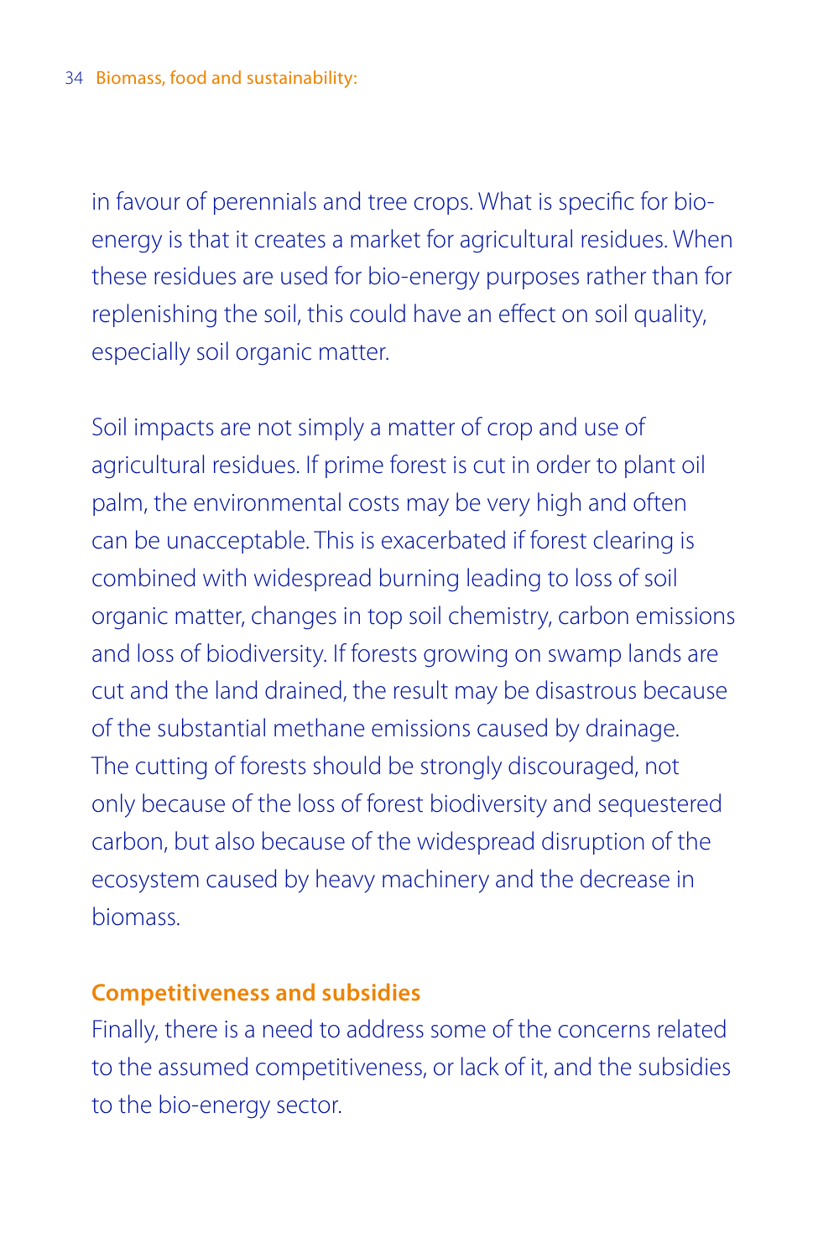in favour of perennials and tree crops. What is specific for bioenergy is that it creates a market for agricultural residues. When these residues are used for bio-energy purposes rather than for replenishing the soil, this could have an effect on soil quality, especially soil organic matter.

Soil impacts are not simply a matter of crop and use of agricultural residues. If prime forest is cut in order to plant oil palm, the environmental costs may be very high and often can be unacceptable. This is exacerbated if forest clearing is combined with widespread burning leading to loss of soil organic matter, changes in top soil chemistry, carbon emissions and loss of biodiversity. If forests growing on swamp lands are cut and the land drained, the result may be disastrous because of the substantial methane emissions caused by drainage. The cutting of forests should be strongly discouraged, not only because of the loss of forest biodiversity and sequestered carbon, but also because of the widespread disruption of the ecosystem caused by heavy machinery and the decrease in biomass.

## **Competitiveness and subsidies**

Finally, there is a need to address some of the concerns related to the assumed competitiveness, or lack of it, and the subsidies to the bio-energy sector.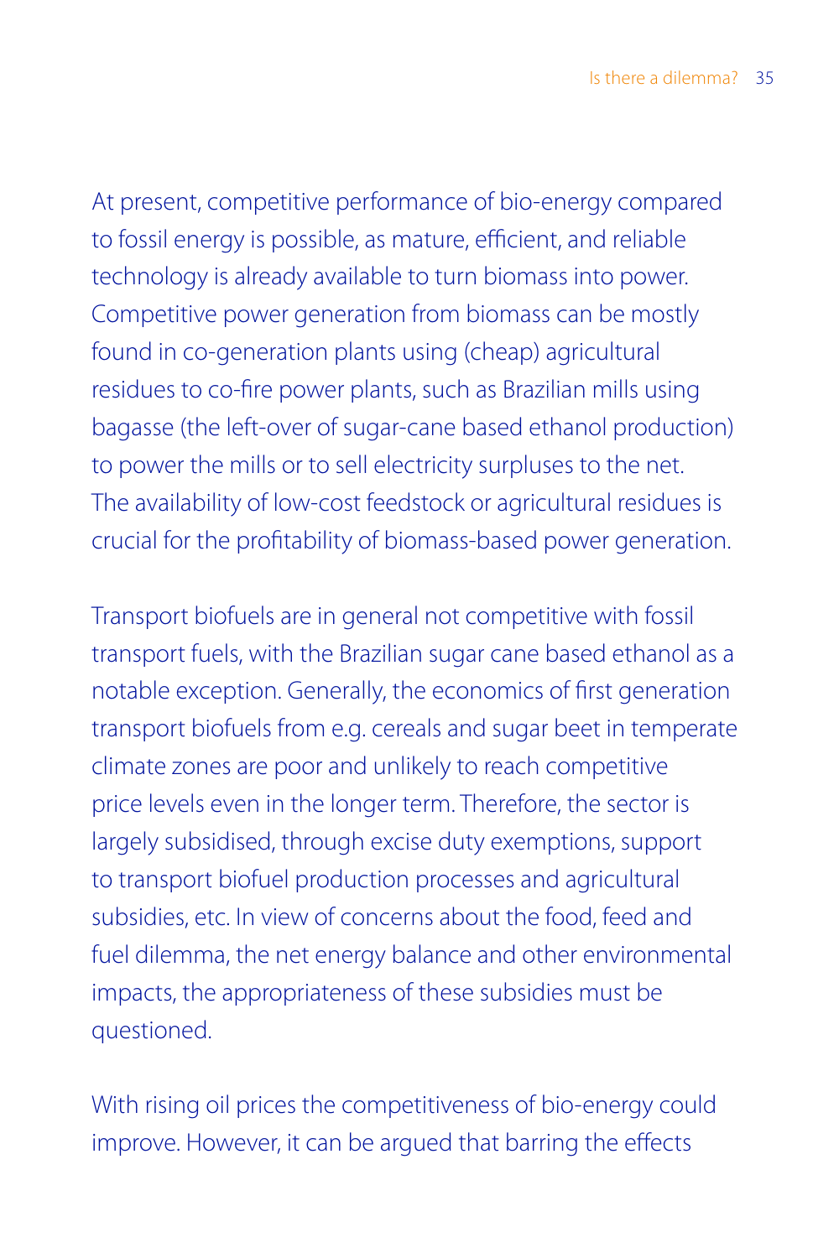At present, competitive performance of bio-energy compared to fossil energy is possible, as mature, efficient, and reliable technology is already available to turn biomass into power. Competitive power generation from biomass can be mostly found in co-generation plants using (cheap) agricultural residues to co-fire power plants, such as Brazilian mills using bagasse (the left-over of sugar-cane based ethanol production) to power the mills or to sell electricity surpluses to the net. The availability of low-cost feedstock or agricultural residues is crucial for the profitability of biomass-based power generation.

Transport biofuels are in general not competitive with fossil transport fuels, with the Brazilian sugar cane based ethanol as a notable exception. Generally, the economics of first generation transport biofuels from e.g. cereals and sugar beet in temperate climate zones are poor and unlikely to reach competitive price levels even in the longer term. Therefore, the sector is largely subsidised, through excise duty exemptions, support to transport biofuel production processes and agricultural subsidies, etc. In view of concerns about the food, feed and fuel dilemma, the net energy balance and other environmental impacts, the appropriateness of these subsidies must be questioned.

With rising oil prices the competitiveness of bio-energy could improve. However, it can be argued that barring the effects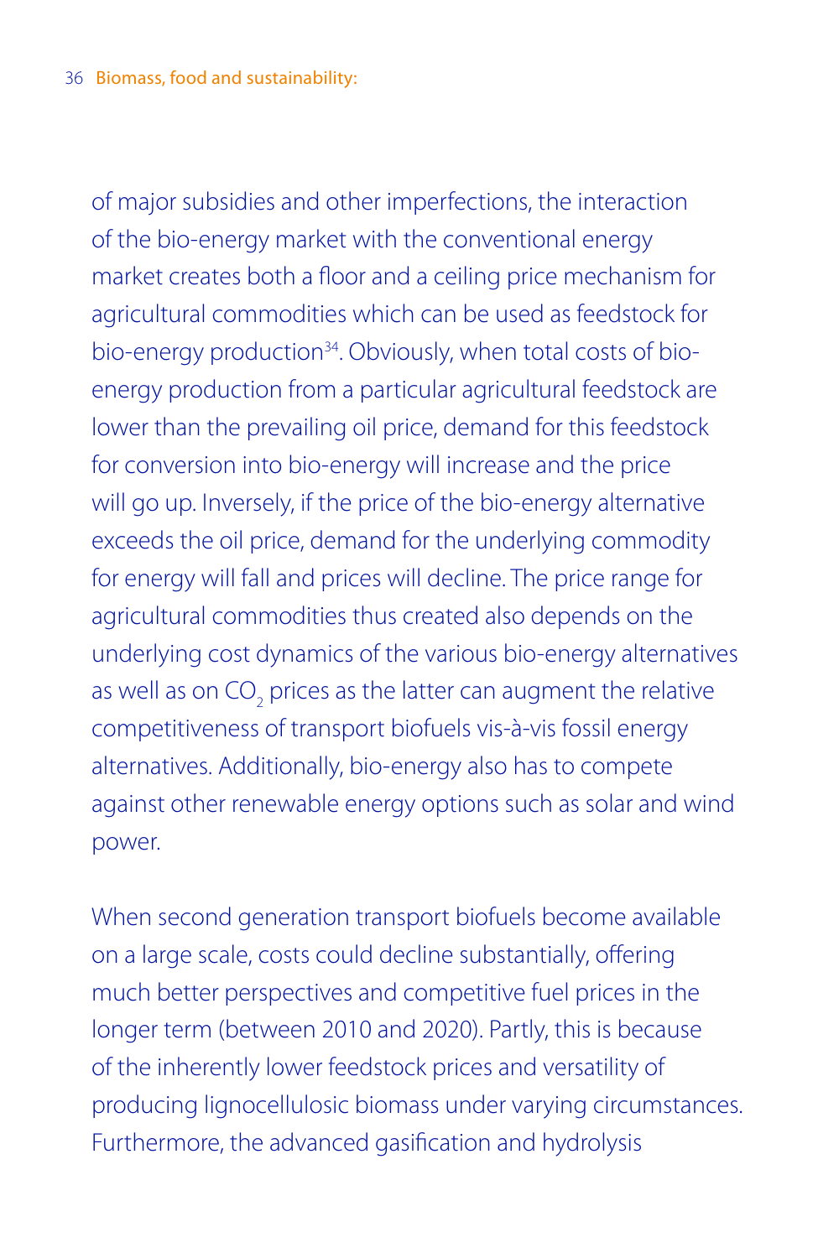of major subsidies and other imperfections, the interaction of the bio-energy market with the conventional energy market creates both a floor and a ceiling price mechanism for agricultural commodities which can be used as feedstock for bio-energy production<sup>34</sup>. Obviously, when total costs of bioenergy production from a particular agricultural feedstock are lower than the prevailing oil price, demand for this feedstock for conversion into bio-energy will increase and the price will go up. Inversely, if the price of the bio-energy alternative exceeds the oil price, demand for the underlying commodity for energy will fall and prices will decline. The price range for agricultural commodities thus created also depends on the underlying cost dynamics of the various bio-energy alternatives as well as on CO<sub>2</sub> prices as the latter can augment the relative competitiveness of transport biofuels vis-à-vis fossil energy alternatives. Additionally, bio-energy also has to compete against other renewable energy options such as solar and wind power.

When second generation transport biofuels become available on a large scale, costs could decline substantially, offering much better perspectives and competitive fuel prices in the longer term (between 2010 and 2020). Partly, this is because of the inherently lower feedstock prices and versatility of producing lignocellulosic biomass under varying circumstances. Furthermore, the advanced gasification and hydrolysis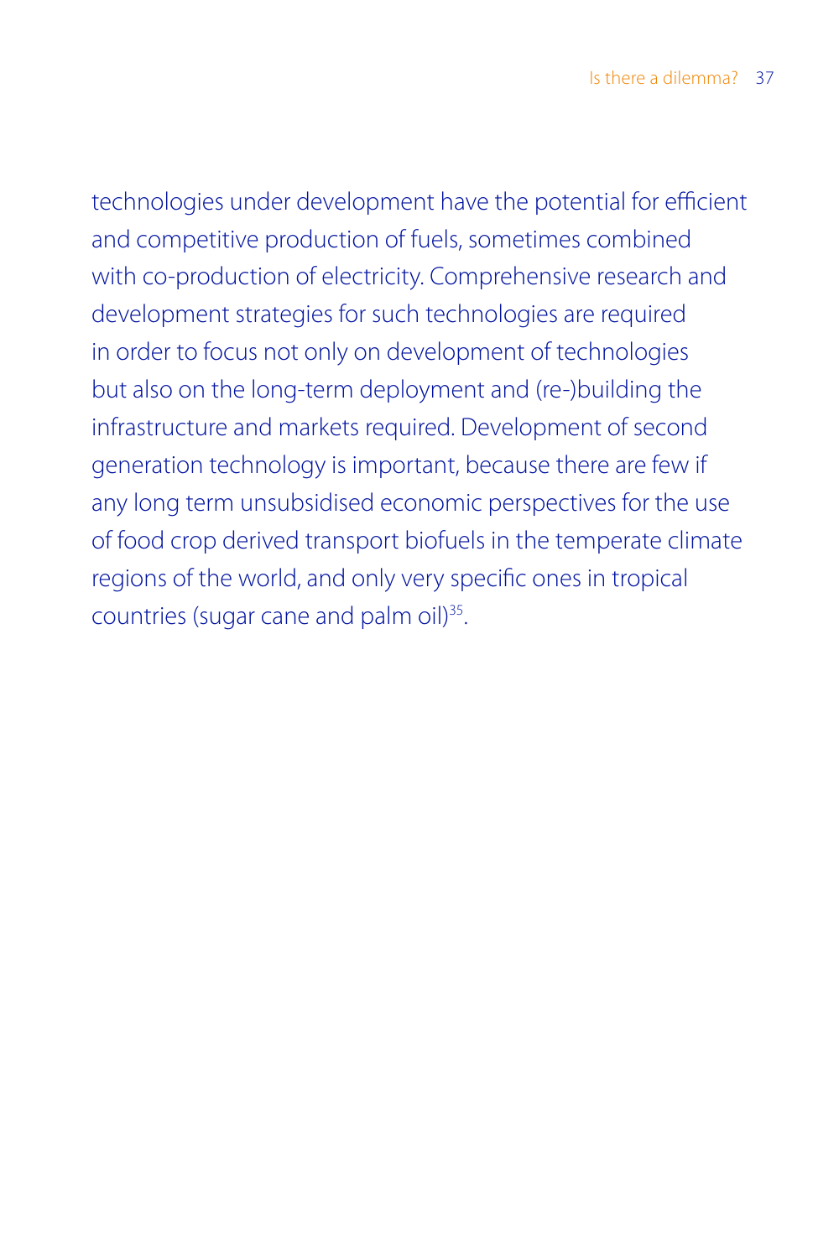technologies under development have the potential for efficient and competitive production of fuels, sometimes combined with co-production of electricity. Comprehensive research and development strategies for such technologies are required in order to focus not only on development of technologies but also on the long-term deployment and (re-)building the infrastructure and markets required. Development of second generation technology is important, because there are few if any long term unsubsidised economic perspectives for the use of food crop derived transport biofuels in the temperate climate regions of the world, and only very specific ones in tropical countries (sugar cane and palm oil)<sup>35</sup>.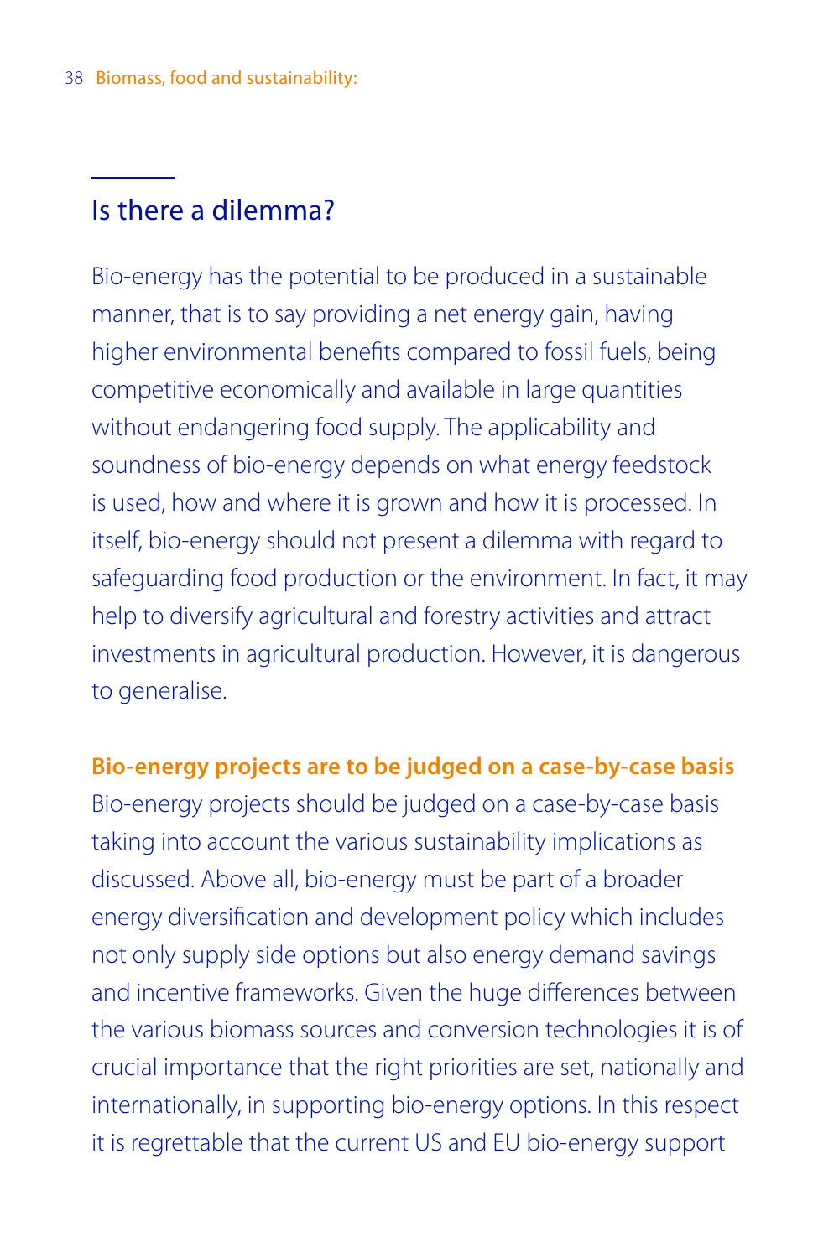# Is there a dilemma?

Bio-energy has the potential to be produced in a sustainable manner, that is to say providing a net energy gain, having higher environmental benefits compared to fossil fuels, being competitive economically and available in large quantities without endangering food supply. The applicability and soundness of bio-energy depends on what energy feedstock is used, how and where it is grown and how it is processed. In itself, bio-energy should not present a dilemma with regard to safeguarding food production or the environment. In fact, it may help to diversify agricultural and forestry activities and attract investments in agricultural production. However, it is dangerous to generalise.

**Bio-energy projects are to be judged on a case-by-case basis**

Bio-energy projects should be judged on a case-by-case basis taking into account the various sustainability implications as discussed. Above all, bio-energy must be part of a broader energy diversification and development policy which includes not only supply side options but also energy demand savings and incentive frameworks. Given the huge differences between the various biomass sources and conversion technologies it is of crucial importance that the right priorities are set, nationally and internationally, in supporting bio-energy options. In this respect it is regrettable that the current US and EU bio-energy support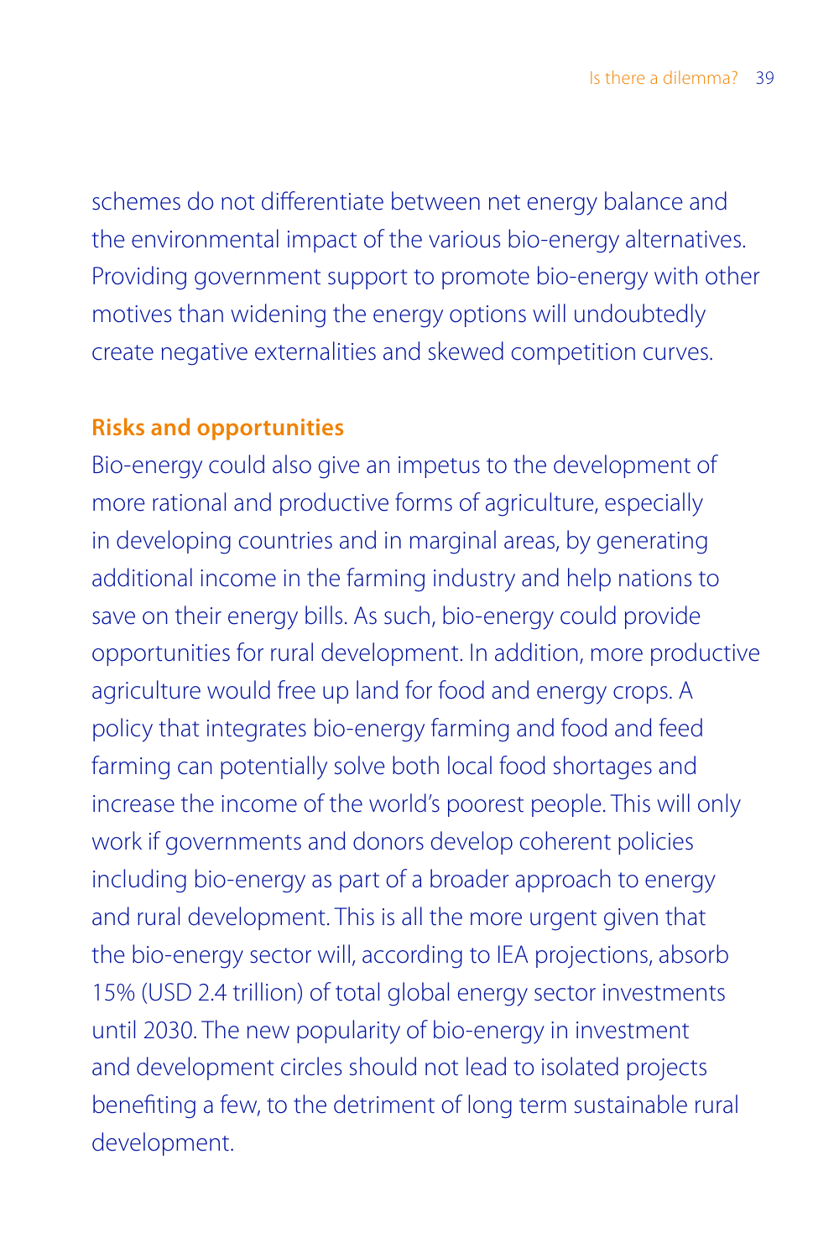schemes do not differentiate between net energy balance and the environmental impact of the various bio-energy alternatives. Providing government support to promote bio-energy with other motives than widening the energy options will undoubtedly create negative externalities and skewed competition curves.

## **Risks and opportunities**

Bio-energy could also give an impetus to the development of more rational and productive forms of agriculture, especially in developing countries and in marginal areas, by generating additional income in the farming industry and help nations to save on their energy bills. As such, bio-energy could provide opportunities for rural development. In addition, more productive agriculture would free up land for food and energy crops. A policy that integrates bio-energy farming and food and feed farming can potentially solve both local food shortages and increase the income of the world's poorest people. This will only work if governments and donors develop coherent policies including bio-energy as part of a broader approach to energy and rural development. This is all the more urgent given that the bio-energy sector will, according to IEA projections, absorb 15% (USD 2.4 trillion) of total global energy sector investments until 2030. The new popularity of bio-energy in investment and development circles should not lead to isolated projects benefiting a few, to the detriment of long term sustainable rural development.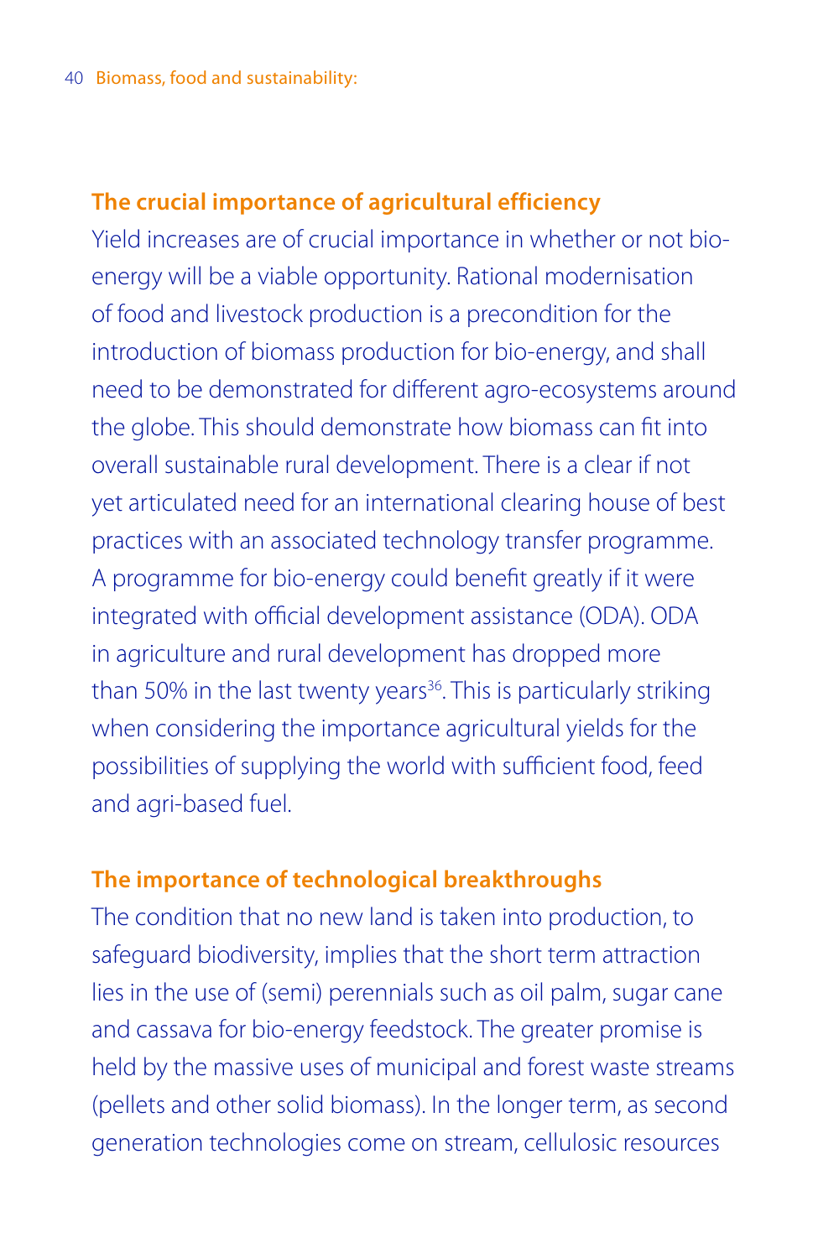## **The crucial importance of agricultural efficiency**

Yield increases are of crucial importance in whether or not bioenergy will be a viable opportunity. Rational modernisation of food and livestock production is a precondition for the introduction of biomass production for bio-energy, and shall need to be demonstrated for different agro-ecosystems around the globe. This should demonstrate how biomass can fit into overall sustainable rural development. There is a clear if not yet articulated need for an international clearing house of best practices with an associated technology transfer programme. A programme for bio-energy could benefit greatly if it were integrated with official development assistance (ODA). ODA in agriculture and rural development has dropped more than 50% in the last twenty years<sup>36</sup>. This is particularly striking when considering the importance agricultural yields for the possibilities of supplying the world with sufficient food, feed and agri-based fuel.

## **The importance of technological breakthroughs**

The condition that no new land is taken into production, to safeguard biodiversity, implies that the short term attraction lies in the use of (semi) perennials such as oil palm, sugar cane and cassava for bio-energy feedstock. The greater promise is held by the massive uses of municipal and forest waste streams (pellets and other solid biomass). In the longer term, as second generation technologies come on stream, cellulosic resources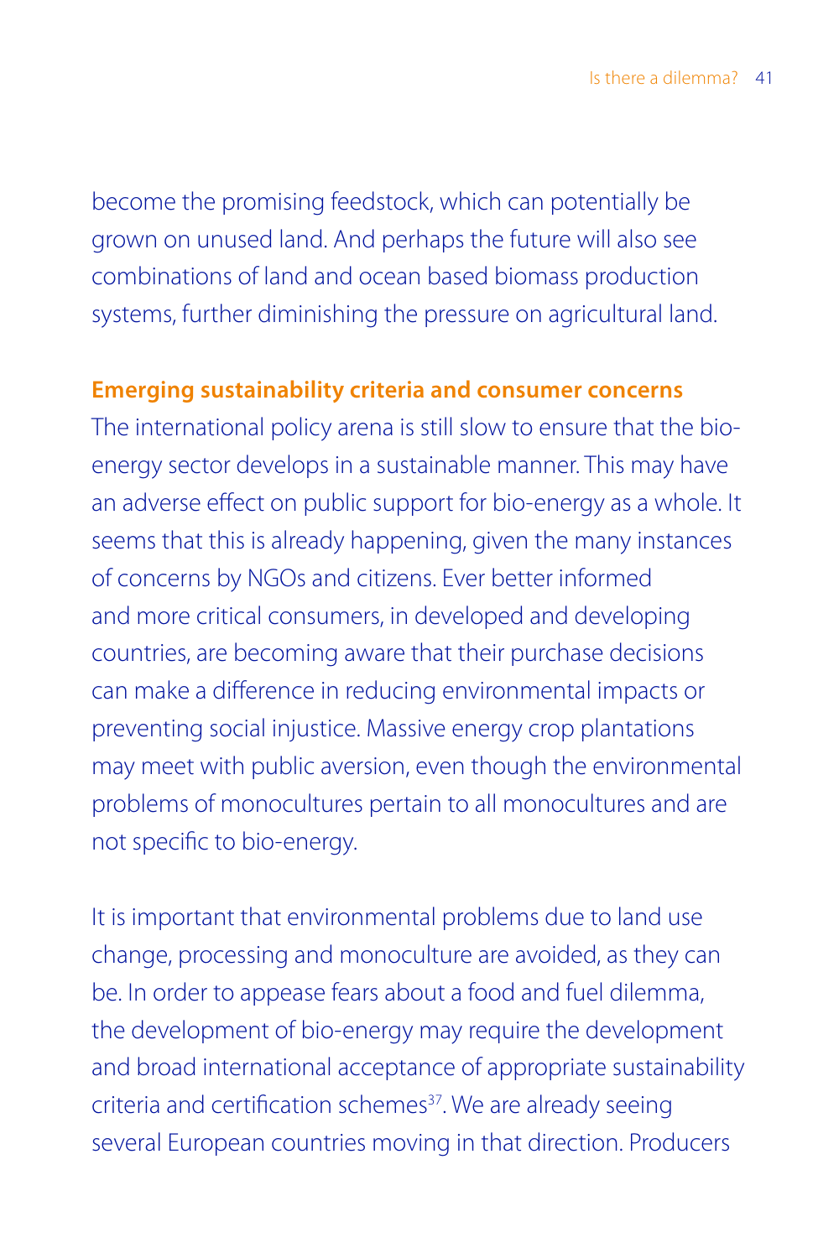become the promising feedstock, which can potentially be grown on unused land. And perhaps the future will also see combinations of land and ocean based biomass production systems, further diminishing the pressure on agricultural land.

## **Emerging sustainability criteria and consumer concerns**

The international policy arena is still slow to ensure that the bioenergy sector develops in a sustainable manner. This may have an adverse effect on public support for bio-energy as a whole. It seems that this is already happening, given the many instances of concerns by NGOs and citizens. Ever better informed and more critical consumers, in developed and developing countries, are becoming aware that their purchase decisions can make a difference in reducing environmental impacts or preventing social injustice. Massive energy crop plantations may meet with public aversion, even though the environmental problems of monocultures pertain to all monocultures and are not specific to bio-energy.

It is important that environmental problems due to land use change, processing and monoculture are avoided, as they can be. In order to appease fears about a food and fuel dilemma, the development of bio-energy may require the development and broad international acceptance of appropriate sustainability criteria and certification schemes $37$ . We are already seeing several European countries moving in that direction. Producers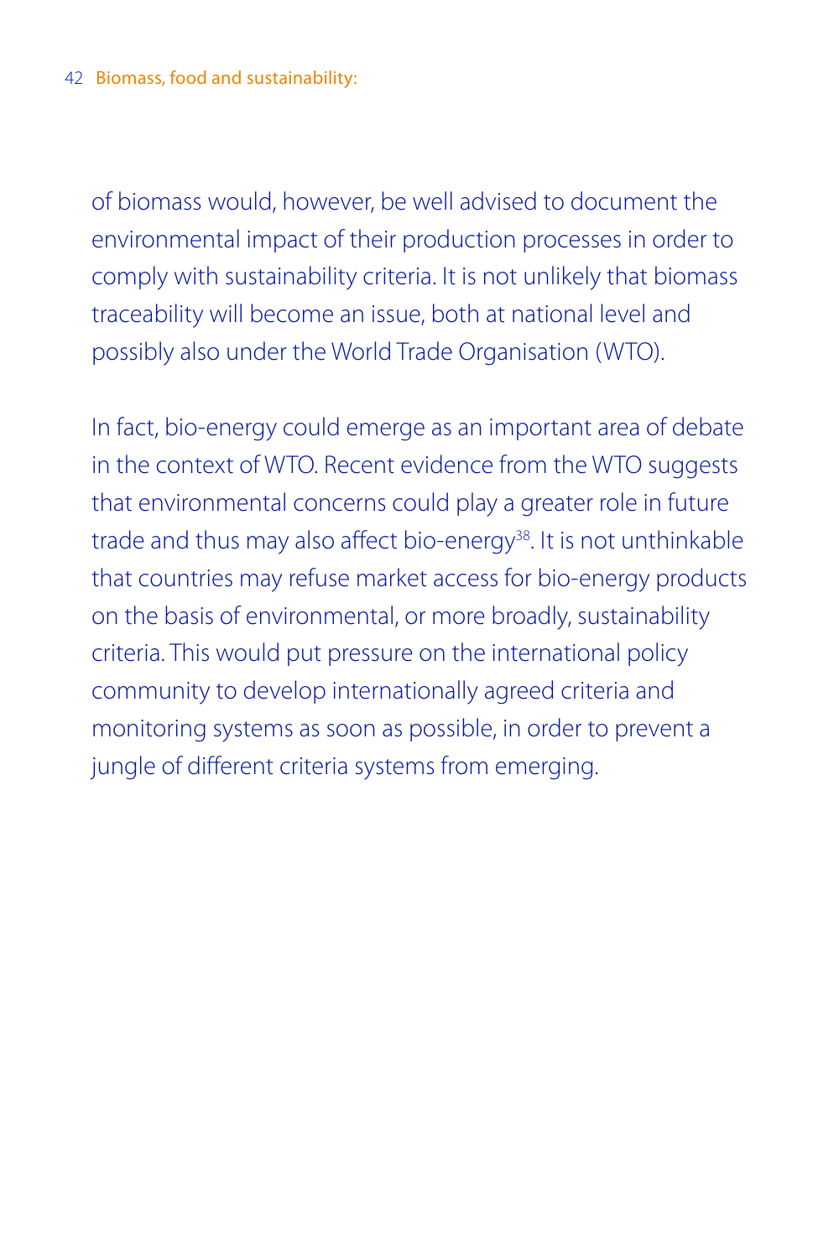of biomass would, however, be well advised to document the environmental impact of their production processes in order to comply with sustainability criteria. It is not unlikely that biomass traceability will become an issue, both at national level and possibly also under the World Trade Organisation (WTO).

In fact, bio-energy could emerge as an important area of debate in the context of WTO. Recent evidence from the WTO suggests that environmental concerns could play a greater role in future trade and thus may also affect bio-energy<sup>38</sup>. It is not unthinkable that countries may refuse market access for bio-energy products on the basis of environmental, or more broadly, sustainability criteria. This would put pressure on the international policy community to develop internationally agreed criteria and monitoring systems as soon as possible, in order to prevent a jungle of different criteria systems from emerging.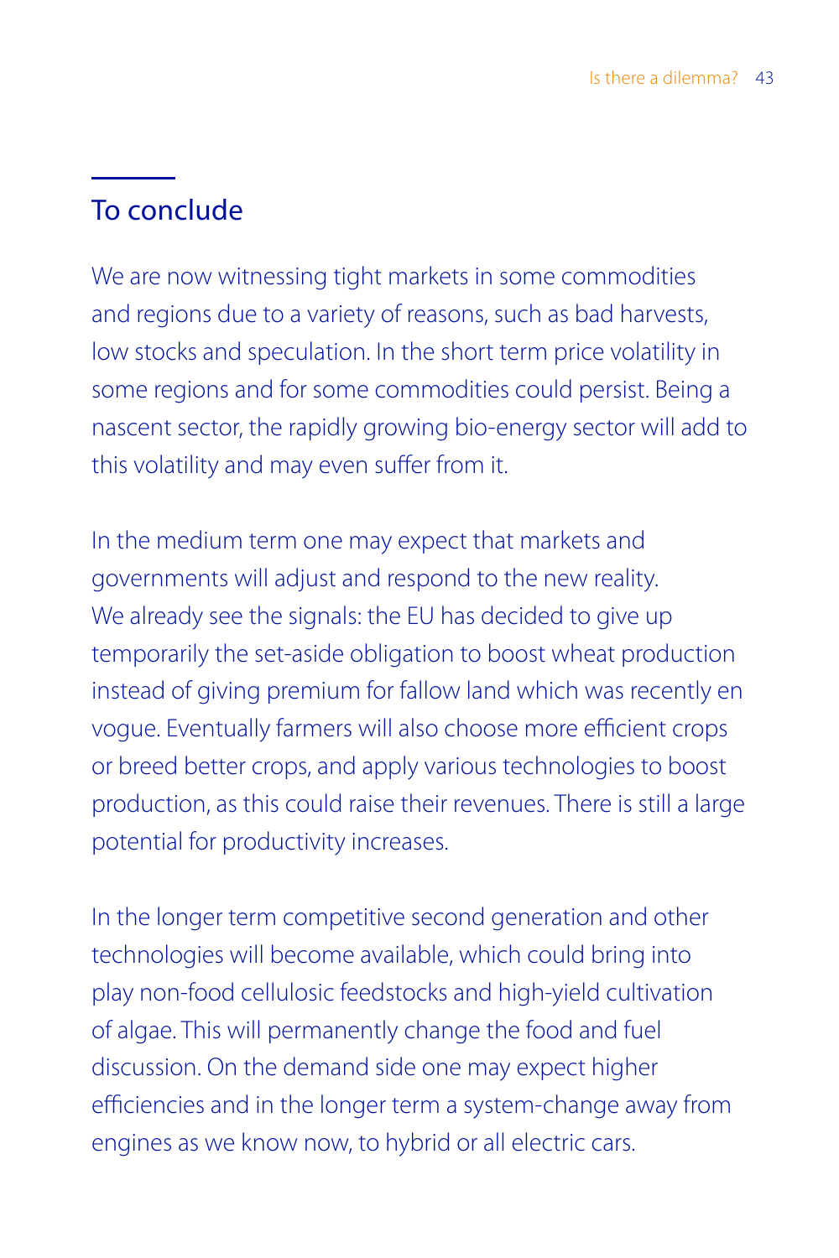# To conclude

We are now witnessing tight markets in some commodities and regions due to a variety of reasons, such as bad harvests, low stocks and speculation. In the short term price volatility in some regions and for some commodities could persist. Being a nascent sector, the rapidly growing bio-energy sector will add to this volatility and may even suffer from it.

In the medium term one may expect that markets and governments will adjust and respond to the new reality. We already see the signals: the EU has decided to give up temporarily the set-aside obligation to boost wheat production instead of giving premium for fallow land which was recently en vogue. Eventually farmers will also choose more efficient crops or breed better crops, and apply various technologies to boost production, as this could raise their revenues. There is still a large potential for productivity increases.

In the longer term competitive second generation and other technologies will become available, which could bring into play non-food cellulosic feedstocks and high-yield cultivation of algae. This will permanently change the food and fuel discussion. On the demand side one may expect higher efficiencies and in the longer term a system-change away from engines as we know now, to hybrid or all electric cars.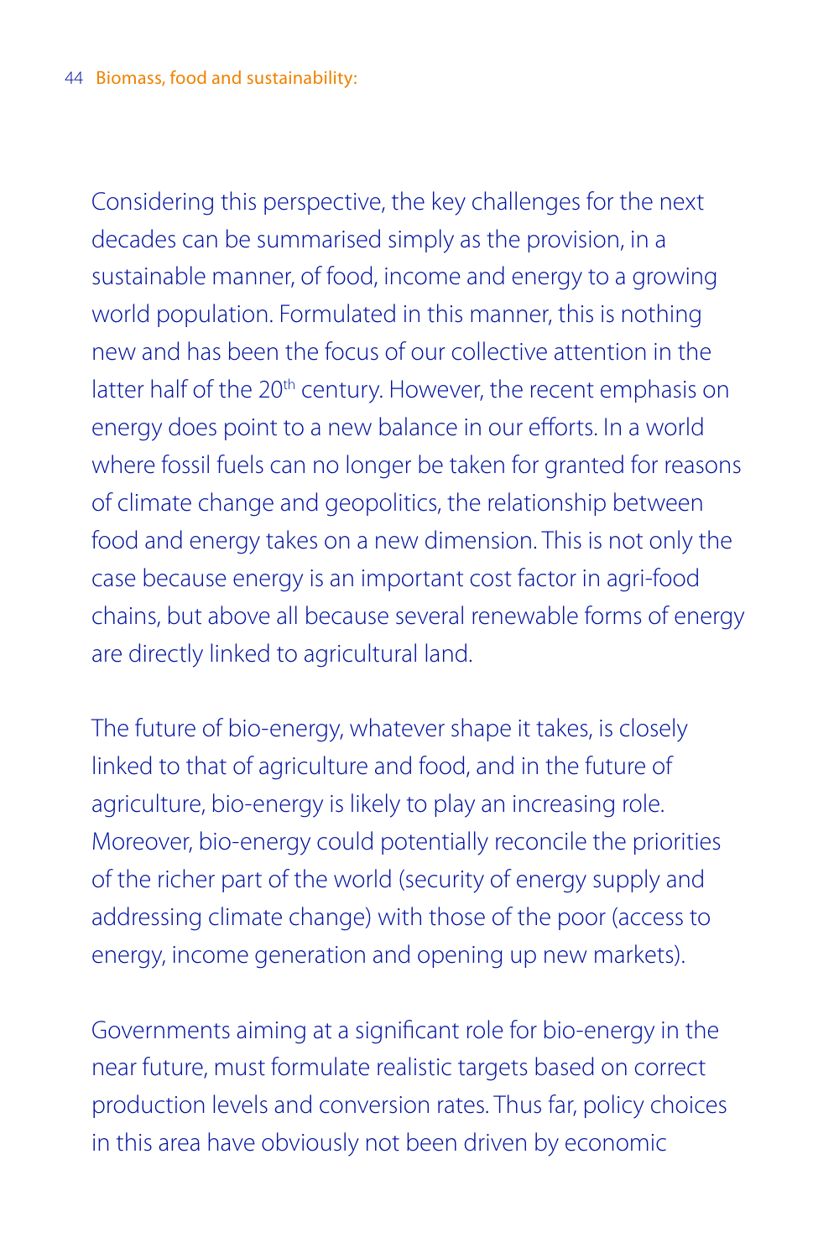Considering this perspective, the key challenges for the next decades can be summarised simply as the provision, in a sustainable manner, of food, income and energy to a growing world population. Formulated in this manner, this is nothing new and has been the focus of our collective attention in the latter half of the 20<sup>th</sup> century. However, the recent emphasis on energy does point to a new balance in our efforts. In a world where fossil fuels can no longer be taken for granted for reasons of climate change and geopolitics, the relationship between food and energy takes on a new dimension. This is not only the case because energy is an important cost factor in agri-food chains, but above all because several renewable forms of energy are directly linked to agricultural land.

The future of bio-energy, whatever shape it takes, is closely linked to that of agriculture and food, and in the future of agriculture, bio-energy is likely to play an increasing role. Moreover, bio-energy could potentially reconcile the priorities of the richer part of the world (security of energy supply and addressing climate change) with those of the poor (access to energy, income generation and opening up new markets).

Governments aiming at a significant role for bio-energy in the near future, must formulate realistic targets based on correct production levels and conversion rates. Thus far, policy choices in this area have obviously not been driven by economic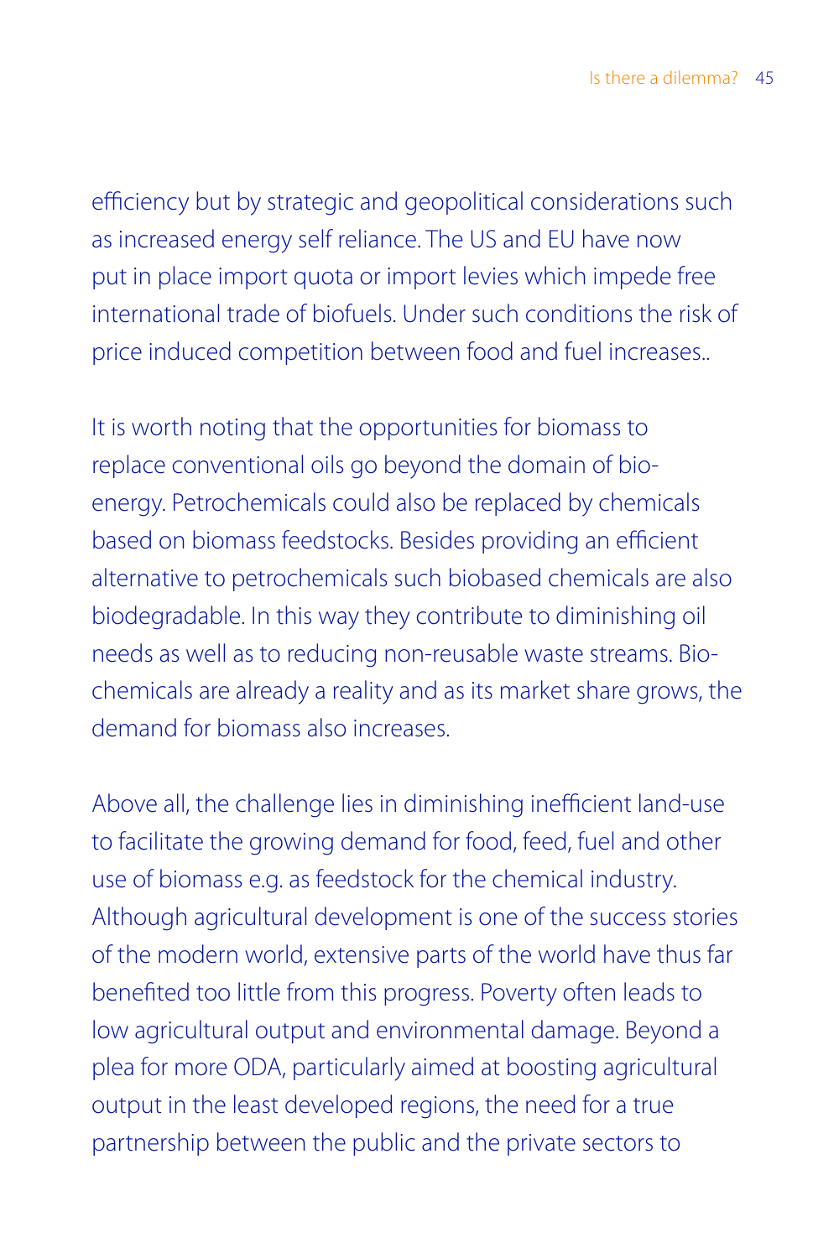efficiency but by strategic and geopolitical considerations such as increased energy self reliance. The US and EU have now put in place import quota or import levies which impede free international trade of biofuels. Under such conditions the risk of price induced competition between food and fuel increases..

It is worth noting that the opportunities for biomass to replace conventional oils go beyond the domain of bioenergy. Petrochemicals could also be replaced by chemicals based on biomass feedstocks. Besides providing an efficient alternative to petrochemicals such biobased chemicals are also biodegradable. In this way they contribute to diminishing oil needs as well as to reducing non-reusable waste streams. Biochemicals are already a reality and as its market share grows, the demand for biomass also increases.

Above all, the challenge lies in diminishing inefficient land-use to facilitate the growing demand for food, feed, fuel and other use of biomass e.g. as feedstock for the chemical industry. Although agricultural development is one of the success stories of the modern world, extensive parts of the world have thus far benefited too little from this progress. Poverty often leads to low agricultural output and environmental damage. Beyond a plea for more ODA, particularly aimed at boosting agricultural output in the least developed regions, the need for a true partnership between the public and the private sectors to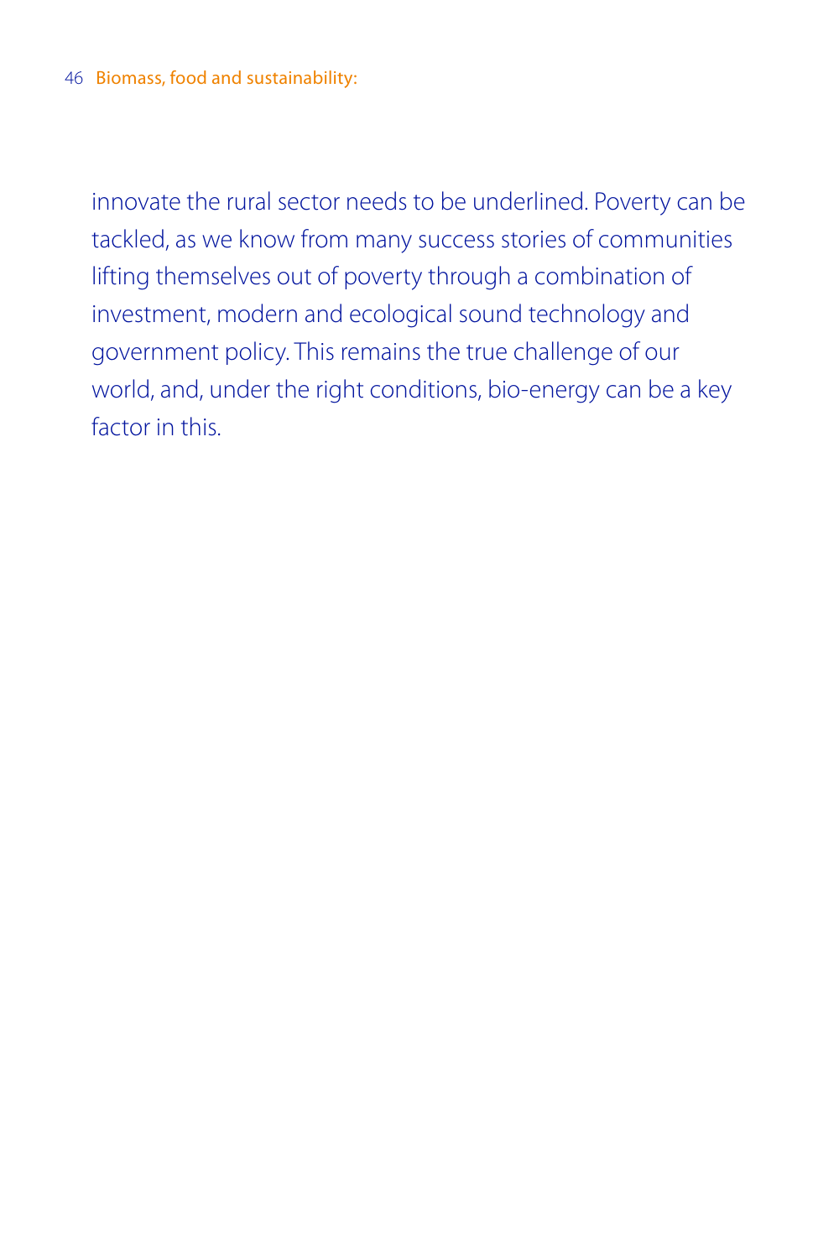innovate the rural sector needs to be underlined. Poverty can be tackled, as we know from many success stories of communities lifting themselves out of poverty through a combination of investment, modern and ecological sound technology and government policy. This remains the true challenge of our world, and, under the right conditions, bio-energy can be a key factor in this.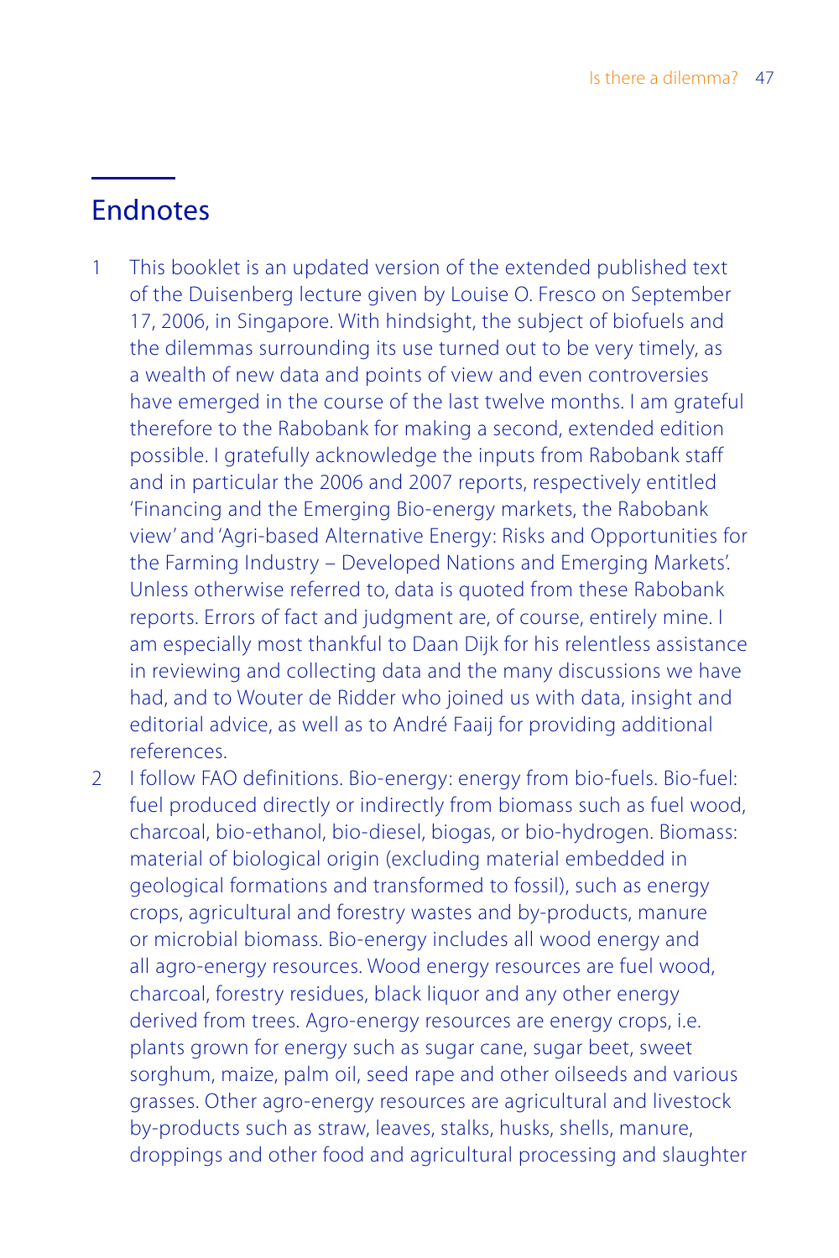# **Endnotes**

- 1 This booklet is an updated version of the extended published text of the Duisenberg lecture given by Louise O. Fresco on September 17, 2006, in Singapore. With hindsight, the subject of biofuels and the dilemmas surrounding its use turned out to be very timely, as a wealth of new data and points of view and even controversies have emerged in the course of the last twelve months. I am grateful therefore to the Rabobank for making a second, extended edition possible. I gratefully acknowledge the inputs from Rabobank staff and in particular the 2006 and 2007 reports, respectively entitled 'Financing and the Emerging Bio-energy markets, the Rabobank view' and 'Agri-based Alternative Energy: Risks and Opportunities for the Farming Industry – Developed Nations and Emerging Markets'. Unless otherwise referred to, data is quoted from these Rabobank reports. Errors of fact and judgment are, of course, entirely mine. I am especially most thankful to Daan Dijk for his relentless assistance in reviewing and collecting data and the many discussions we have had, and to Wouter de Ridder who joined us with data, insight and editorial advice, as well as to André Faaij for providing additional references.
- 2 I follow FAO definitions. Bio-energy: energy from bio-fuels. Bio-fuel: fuel produced directly or indirectly from biomass such as fuel wood, charcoal, bio-ethanol, bio-diesel, biogas, or bio-hydrogen. Biomass: material of biological origin (excluding material embedded in geological formations and transformed to fossil), such as energy crops, agricultural and forestry wastes and by-products, manure or microbial biomass. Bio-energy includes all wood energy and all agro-energy resources. Wood energy resources are fuel wood, charcoal, forestry residues, black liquor and any other energy derived from trees. Agro-energy resources are energy crops, i.e. plants grown for energy such as sugar cane, sugar beet, sweet sorghum, maize, palm oil, seed rape and other oilseeds and various grasses. Other agro-energy resources are agricultural and livestock by-products such as straw, leaves, stalks, husks, shells, manure, droppings and other food and agricultural processing and slaughter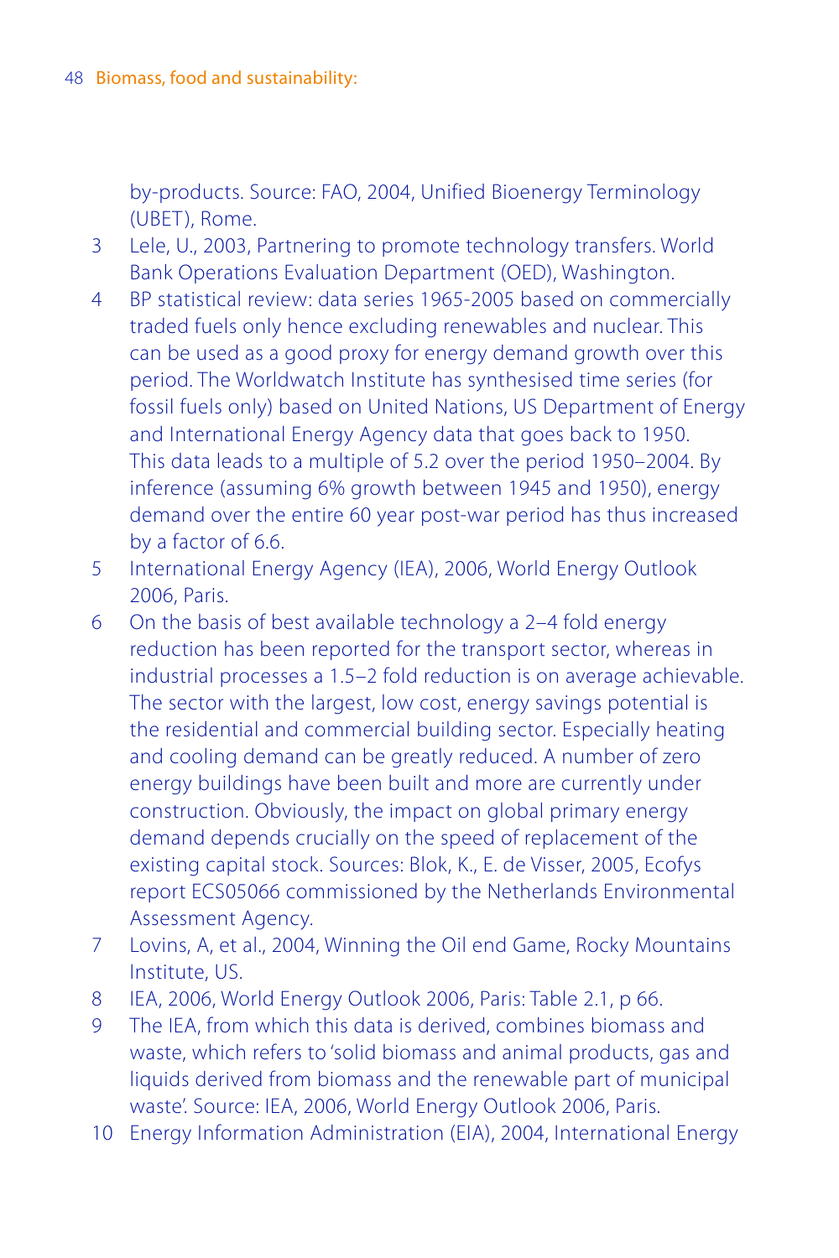by-products. Source: FAO, 2004, Unified Bioenergy Terminology (UBET), Rome.

- 3 Lele, U., 2003, Partnering to promote technology transfers. World Bank Operations Evaluation Department (OED), Washington.
- 4 BP statistical review: data series 1965-2005 based on commercially traded fuels only hence excluding renewables and nuclear. This can be used as a good proxy for energy demand growth over this period. The Worldwatch Institute has synthesised time series (for fossil fuels only) based on United Nations, US Department of Energy and International Energy Agency data that goes back to 1950. This data leads to a multiple of 5.2 over the period 1950–2004. By inference (assuming 6% growth between 1945 and 1950), energy demand over the entire 60 year post-war period has thus increased by a factor of 6.6.
- 5 International Energy Agency (IEA), 2006, World Energy Outlook 2006, Paris.
- 6 On the basis of best available technology a 2–4 fold energy reduction has been reported for the transport sector, whereas in industrial processes a 1.5–2 fold reduction is on average achievable. The sector with the largest, low cost, energy savings potential is the residential and commercial building sector. Especially heating and cooling demand can be greatly reduced. A number of zero energy buildings have been built and more are currently under construction. Obviously, the impact on global primary energy demand depends crucially on the speed of replacement of the existing capital stock. Sources: Blok, K., E. de Visser, 2005, Ecofys report ECS05066 commissioned by the Netherlands Environmental Assessment Agency.
- 7 Lovins, A, et al., 2004, Winning the Oil end Game, Rocky Mountains Institute, US.
- 8 IEA, 2006, World Energy Outlook 2006, Paris: Table 2.1, p 66.
- 9 The IEA, from which this data is derived, combines biomass and waste, which refers to 'solid biomass and animal products, gas and liquids derived from biomass and the renewable part of municipal waste'. Source: IEA, 2006, World Energy Outlook 2006, Paris.
- 10 Energy Information Administration (EIA), 2004, International Energy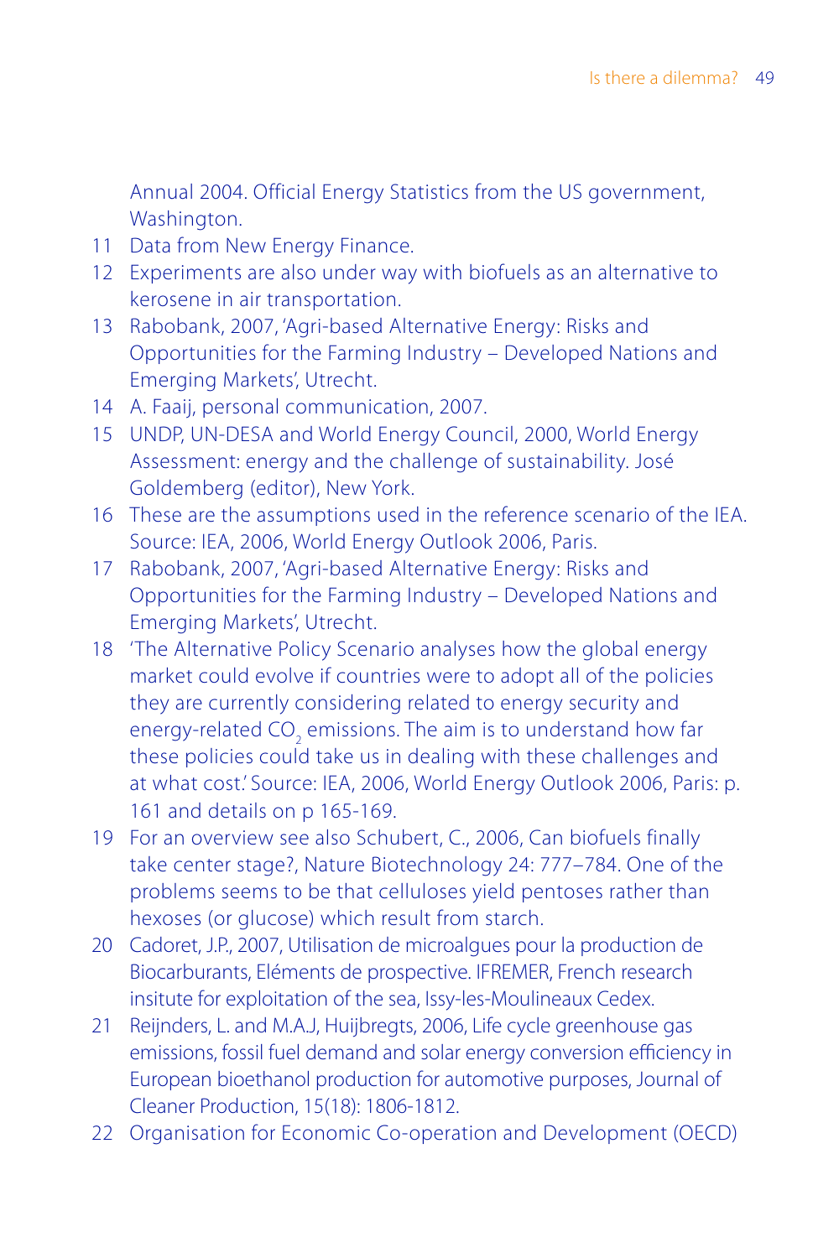Annual 2004. Official Energy Statistics from the US government, Washington.

- 11 Data from New Energy Finance.
- 12 Experiments are also under way with biofuels as an alternative to kerosene in air transportation.
- 13 Rabobank, 2007, 'Agri-based Alternative Energy: Risks and Opportunities for the Farming Industry – Developed Nations and Emerging Markets', Utrecht.
- 14 A. Faaij, personal communication, 2007.
- 15 UNDP, UN-DESA and World Energy Council, 2000, World Energy Assessment: energy and the challenge of sustainability. José Goldemberg (editor), New York.
- 16 These are the assumptions used in the reference scenario of the IEA. Source: IEA, 2006, World Energy Outlook 2006, Paris.
- 17 Rabobank, 2007, 'Agri-based Alternative Energy: Risks and Opportunities for the Farming Industry – Developed Nations and Emerging Markets', Utrecht.
- 18 'The Alternative Policy Scenario analyses how the global energy market could evolve if countries were to adopt all of the policies they are currently considering related to energy security and energy-related CO<sub>2</sub> emissions. The aim is to understand how far these policies could take us in dealing with these challenges and at what cost.' Source: IEA, 2006, World Energy Outlook 2006, Paris: p. 161 and details on p 165-169.
- 19 For an overview see also Schubert, C., 2006, Can biofuels finally take center stage?, Nature Biotechnology 24: 777–784. One of the problems seems to be that celluloses yield pentoses rather than hexoses (or glucose) which result from starch.
- 20 Cadoret, J.P., 2007, Utilisation de microalgues pour la production de Biocarburants, Eléments de prospective. IFREMER, French research insitute for exploitation of the sea, Issy-les-Moulineaux Cedex.
- 21 Reijnders, L. and M.A.J, Huijbregts, 2006, Life cycle greenhouse gas emissions, fossil fuel demand and solar energy conversion efficiency in European bioethanol production for automotive purposes, Journal of Cleaner Production, 15(18): 1806-1812.
- 22 Organisation for Economic Co-operation and Development (OECD)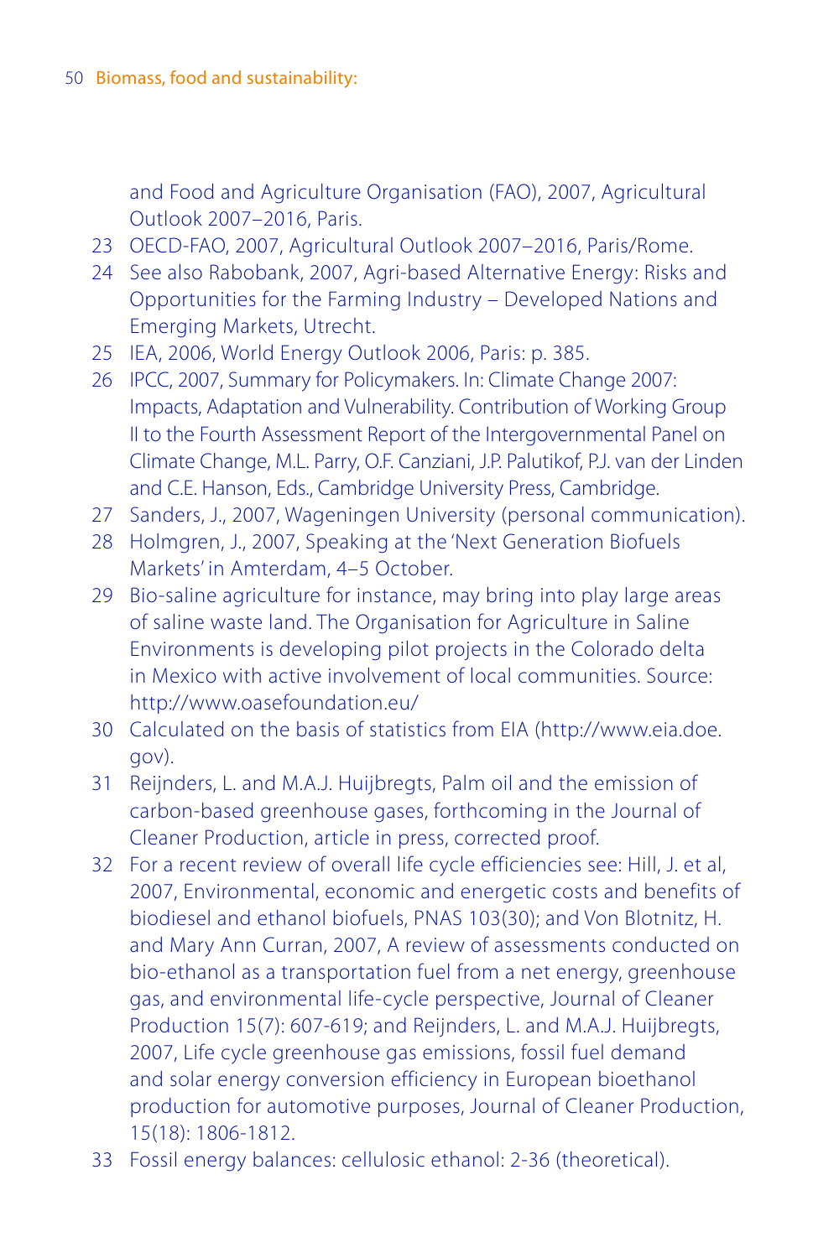and Food and Agriculture Organisation (FAO), 2007, Agricultural Outlook 2007–2016, Paris.

- 23 OECD-FAO, 2007, Agricultural Outlook 2007–2016, Paris/Rome.
- 24 See also Rabobank, 2007, Agri-based Alternative Energy: Risks and Opportunities for the Farming Industry – Developed Nations and Emerging Markets, Utrecht.
- 25 IEA, 2006, World Energy Outlook 2006, Paris: p. 385.
- 26 IPCC, 2007, Summary for Policymakers. In: Climate Change 2007: Impacts, Adaptation and Vulnerability. Contribution of Working Group II to the Fourth Assessment Report of the Intergovernmental Panel on Climate Change, M.L. Parry, O.F. Canziani, J.P. Palutikof, P.J. van der Linden and C.E. Hanson, Eds., Cambridge University Press, Cambridge.
- 27 Sanders, J., 2007, Wageningen University (personal communication).
- 28 Holmgren, J., 2007, Speaking at the 'Next Generation Biofuels Markets' in Amterdam, 4–5 October.
- 29 Bio-saline agriculture for instance, may bring into play large areas of saline waste land. The Organisation for Agriculture in Saline Environments is developing pilot projects in the Colorado delta in Mexico with active involvement of local communities. Source: http://www.oasefoundation.eu/
- 30 Calculated on the basis of statistics from EIA (http://www.eia.doe. gov).
- 31 Reijnders, L. and M.A.J. Huijbregts, Palm oil and the emission of carbon-based greenhouse gases, forthcoming in the Journal of Cleaner Production, article in press, corrected proof.
- 32 For a recent review of overall life cycle efficiencies see: Hill, J. et al, 2007, Environmental, economic and energetic costs and benefits of biodiesel and ethanol biofuels, PNAS 103(30); and Von Blotnitz, H. and Mary Ann Curran, 2007, A review of assessments conducted on bio-ethanol as a transportation fuel from a net energy, greenhouse gas, and environmental life-cycle perspective, Journal of Cleaner Production 15(7): 607-619; and Reijnders, L. and M.A.J. Huijbregts, 2007, Life cycle greenhouse gas emissions, fossil fuel demand and solar energy conversion efficiency in European bioethanol production for automotive purposes, Journal of Cleaner Production, 15(18): 1806-1812.
- 33 Fossil energy balances: cellulosic ethanol: 2-36 (theoretical).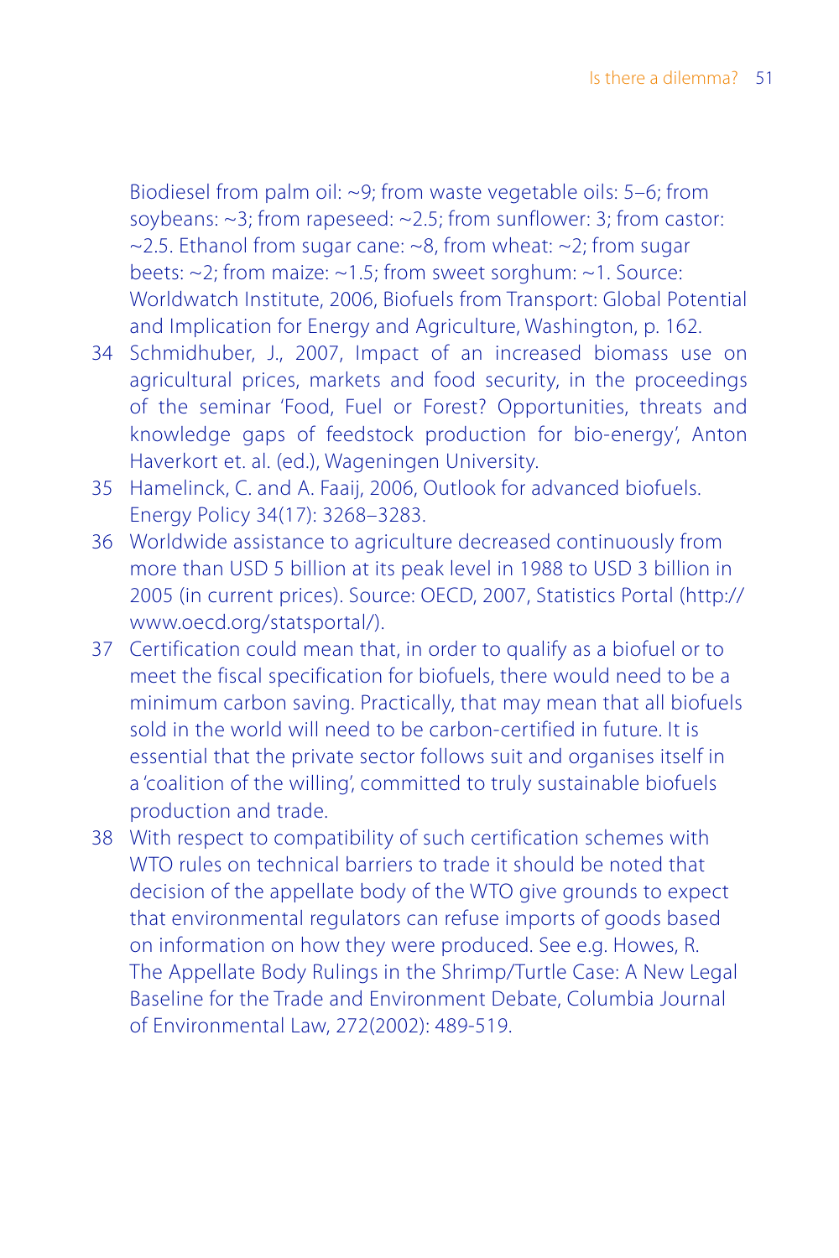Biodiesel from palm oil: ~9; from waste vegetable oils: 5–6; from soybeans: ~3; from rapeseed: ~2.5; from sunflower: 3; from castor:  $\approx$  2.5. Ethanol from sugar cane:  $\approx$ 8, from wheat:  $\approx$ 2; from sugar beets: ~2; from maize: ~1.5; from sweet sorghum: ~1. Source: Worldwatch Institute, 2006, Biofuels from Transport: Global Potential and Implication for Energy and Agriculture, Washington, p. 162.

- 34 Schmidhuber, J., 2007, Impact of an increased biomass use on agricultural prices, markets and food security, in the proceedings of the seminar 'Food, Fuel or Forest? Opportunities, threats and knowledge gaps of feedstock production for bio-energy', Anton Haverkort et. al. (ed.), Wageningen University.
- 35 Hamelinck, C. and A. Faaij, 2006, Outlook for advanced biofuels. Energy Policy 34(17): 3268–3283.
- 36 Worldwide assistance to agriculture decreased continuously from more than USD 5 billion at its peak level in 1988 to USD 3 billion in 2005 (in current prices). Source: OECD, 2007, Statistics Portal (http:// www.oecd.org/statsportal/).
- 37 Certification could mean that, in order to qualify as a biofuel or to meet the fiscal specification for biofuels, there would need to be a minimum carbon saving. Practically, that may mean that all biofuels sold in the world will need to be carbon-certified in future. It is essential that the private sector follows suit and organises itself in a 'coalition of the willing', committed to truly sustainable biofuels production and trade.
- 38 With respect to compatibility of such certification schemes with WTO rules on technical barriers to trade it should be noted that decision of the appellate body of the WTO give grounds to expect that environmental regulators can refuse imports of goods based on information on how they were produced. See e.g. Howes, R. The Appellate Body Rulings in the Shrimp/Turtle Case: A New Legal Baseline for the Trade and Environment Debate, Columbia Journal of Environmental Law, 272(2002): 489-519.